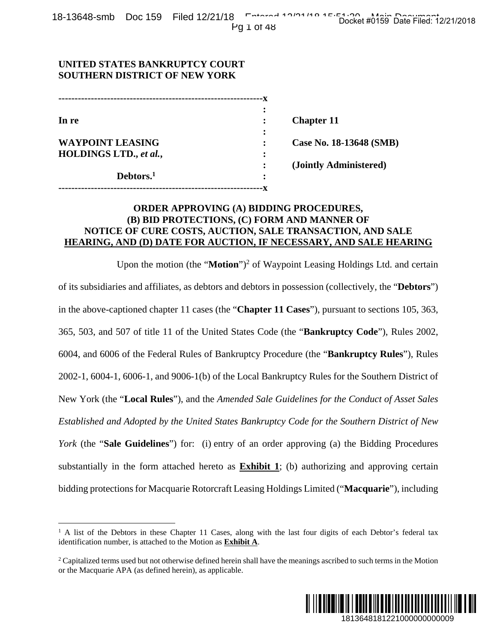## **UNITED STATES BANKRUPTCY COURT SOUTHERN DISTRICT OF NEW YORK**

| In re                   | ٠ | <b>Chapter 11</b>       |
|-------------------------|---|-------------------------|
|                         |   |                         |
| <b>WAYPOINT LEASING</b> |   | Case No. 18-13648 (SMB) |
| HOLDINGS LTD., et al.,  | ٠ |                         |
|                         |   | (Jointly Administered)  |
| Debtors. <sup>1</sup>   | ٠ |                         |
|                         |   |                         |

## **ORDER APPROVING (A) BIDDING PROCEDURES, (B) BID PROTECTIONS, (C) FORM AND MANNER OF NOTICE OF CURE COSTS, AUCTION, SALE TRANSACTION, AND SALE HEARING, AND (D) DATE FOR AUCTION, IF NECESSARY, AND SALE HEARING**

Upon the motion (the "Motion")<sup>2</sup> of Waypoint Leasing Holdings Ltd. and certain of its subsidiaries and affiliates, as debtors and debtors in possession (collectively, the "**Debtors**") in the above-captioned chapter 11 cases (the "**Chapter 11 Cases**"), pursuant to sections 105, 363, 365, 503, and 507 of title 11 of the United States Code (the "**Bankruptcy Code**"), Rules 2002, 6004, and 6006 of the Federal Rules of Bankruptcy Procedure (the "**Bankruptcy Rules**"), Rules 2002-1, 6004-1, 6006-1, and 9006-1(b) of the Local Bankruptcy Rules for the Southern District of New York (the "**Local Rules**"), and the *Amended Sale Guidelines for the Conduct of Asset Sales Established and Adopted by the United States Bankruptcy Code for the Southern District of New York* (the "**Sale Guidelines**") for: (i) entry of an order approving (a) the Bidding Procedures substantially in the form attached hereto as **Exhibit 1**; (b) authorizing and approving certain bidding protections for Macquarie Rotorcraft Leasing Holdings Limited ("**Macquarie**"), including 1813648181221000000000009 Docket #0159 Date Filed: 12/21/2018

<sup>&</sup>lt;sup>2</sup> Capitalized terms used but not otherwise defined herein shall have the meanings ascribed to such terms in the Motion or the Macquarie APA (as defined herein), as applicable.



 $\overline{a}$ <sup>1</sup> A list of the Debtors in these Chapter 11 Cases, along with the last four digits of each Debtor's federal tax identification number, is attached to the Motion as **Exhibit A**.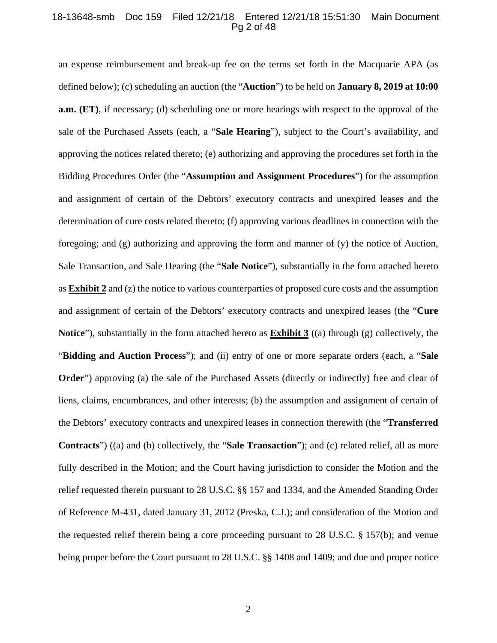#### 18-13648-smb Doc 159 Filed 12/21/18 Entered 12/21/18 15:51:30 Main Document Pg 2 of 48

an expense reimbursement and break-up fee on the terms set forth in the Macquarie APA (as defined below); (c) scheduling an auction (the "**Auction**") to be held on **January 8, 2019 at 10:00 a.m. (ET)**, if necessary; (d) scheduling one or more hearings with respect to the approval of the sale of the Purchased Assets (each, a "**Sale Hearing**"), subject to the Court's availability, and approving the notices related thereto; (e) authorizing and approving the procedures set forth in the Bidding Procedures Order (the "**Assumption and Assignment Procedures**") for the assumption and assignment of certain of the Debtors' executory contracts and unexpired leases and the determination of cure costs related thereto; (f) approving various deadlines in connection with the foregoing; and (g) authorizing and approving the form and manner of (y) the notice of Auction, Sale Transaction, and Sale Hearing (the "**Sale Notice**"), substantially in the form attached hereto as **Exhibit 2** and (z) the notice to various counterparties of proposed cure costs and the assumption and assignment of certain of the Debtors' executory contracts and unexpired leases (the "**Cure Notice**"), substantially in the form attached hereto as **Exhibit 3** ((a) through (g) collectively, the "**Bidding and Auction Process**"); and (ii) entry of one or more separate orders (each, a "**Sale Order**") approving (a) the sale of the Purchased Assets (directly or indirectly) free and clear of liens, claims, encumbrances, and other interests; (b) the assumption and assignment of certain of the Debtors' executory contracts and unexpired leases in connection therewith (the "**Transferred Contracts**") ((a) and (b) collectively, the "**Sale Transaction**"); and (c) related relief, all as more fully described in the Motion; and the Court having jurisdiction to consider the Motion and the relief requested therein pursuant to 28 U.S.C. §§ 157 and 1334, and the Amended Standing Order of Reference M-431, dated January 31, 2012 (Preska, C.J.); and consideration of the Motion and the requested relief therein being a core proceeding pursuant to 28 U.S.C. § 157(b); and venue being proper before the Court pursuant to 28 U.S.C. §§ 1408 and 1409; and due and proper notice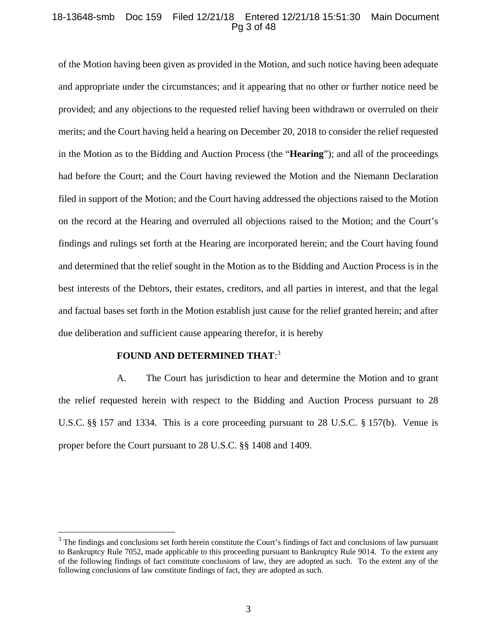#### 18-13648-smb Doc 159 Filed 12/21/18 Entered 12/21/18 15:51:30 Main Document Pg 3 of 48

of the Motion having been given as provided in the Motion, and such notice having been adequate and appropriate under the circumstances; and it appearing that no other or further notice need be provided; and any objections to the requested relief having been withdrawn or overruled on their merits; and the Court having held a hearing on December 20, 2018 to consider the relief requested in the Motion as to the Bidding and Auction Process (the "**Hearing**"); and all of the proceedings had before the Court; and the Court having reviewed the Motion and the Niemann Declaration filed in support of the Motion; and the Court having addressed the objections raised to the Motion on the record at the Hearing and overruled all objections raised to the Motion; and the Court's findings and rulings set forth at the Hearing are incorporated herein; and the Court having found and determined that the relief sought in the Motion as to the Bidding and Auction Process is in the best interests of the Debtors, their estates, creditors, and all parties in interest, and that the legal and factual bases set forth in the Motion establish just cause for the relief granted herein; and after due deliberation and sufficient cause appearing therefor, it is hereby

## **FOUND AND DETERMINED THAT**: 3

 $\overline{a}$ 

A. The Court has jurisdiction to hear and determine the Motion and to grant the relief requested herein with respect to the Bidding and Auction Process pursuant to 28 U.S.C. §§ 157 and 1334. This is a core proceeding pursuant to 28 U.S.C. § 157(b). Venue is proper before the Court pursuant to 28 U.S.C. §§ 1408 and 1409.

 $3$  The findings and conclusions set forth herein constitute the Court's findings of fact and conclusions of law pursuant to Bankruptcy Rule 7052, made applicable to this proceeding pursuant to Bankruptcy Rule 9014. To the extent any of the following findings of fact constitute conclusions of law, they are adopted as such. To the extent any of the following conclusions of law constitute findings of fact, they are adopted as such.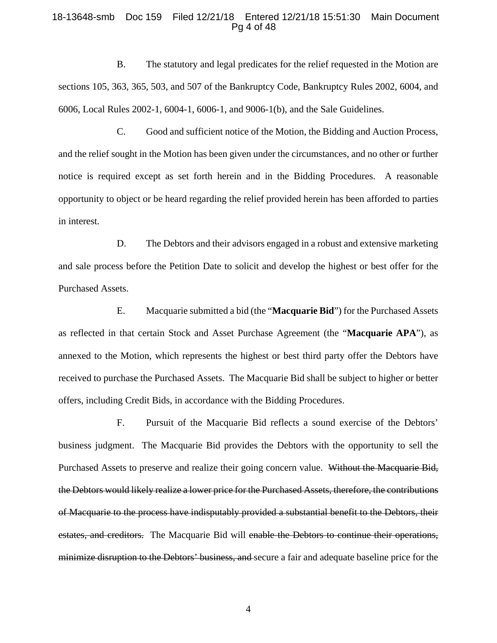#### 18-13648-smb Doc 159 Filed 12/21/18 Entered 12/21/18 15:51:30 Main Document Pg 4 of 48

B. The statutory and legal predicates for the relief requested in the Motion are sections 105, 363, 365, 503, and 507 of the Bankruptcy Code, Bankruptcy Rules 2002, 6004, and 6006, Local Rules 2002-1, 6004-1, 6006-1, and 9006-1(b), and the Sale Guidelines.

C. Good and sufficient notice of the Motion, the Bidding and Auction Process, and the relief sought in the Motion has been given under the circumstances, and no other or further notice is required except as set forth herein and in the Bidding Procedures. A reasonable opportunity to object or be heard regarding the relief provided herein has been afforded to parties in interest.

D. The Debtors and their advisors engaged in a robust and extensive marketing and sale process before the Petition Date to solicit and develop the highest or best offer for the Purchased Assets.

E. Macquarie submitted a bid (the "**Macquarie Bid**") for the Purchased Assets as reflected in that certain Stock and Asset Purchase Agreement (the "**Macquarie APA**"), as annexed to the Motion, which represents the highest or best third party offer the Debtors have received to purchase the Purchased Assets. The Macquarie Bid shall be subject to higher or better offers, including Credit Bids, in accordance with the Bidding Procedures.

F. Pursuit of the Macquarie Bid reflects a sound exercise of the Debtors' business judgment. The Macquarie Bid provides the Debtors with the opportunity to sell the Purchased Assets to preserve and realize their going concern value. Without the Macquarie Bid, the Debtors would likely realize a lower price for the Purchased Assets, therefore, the contributions of Macquarie to the process have indisputably provided a substantial benefit to the Debtors, their estates, and creditors. The Macquarie Bid will enable the Debtors to continue their operations, minimize disruption to the Debtors' business, and secure a fair and adequate baseline price for the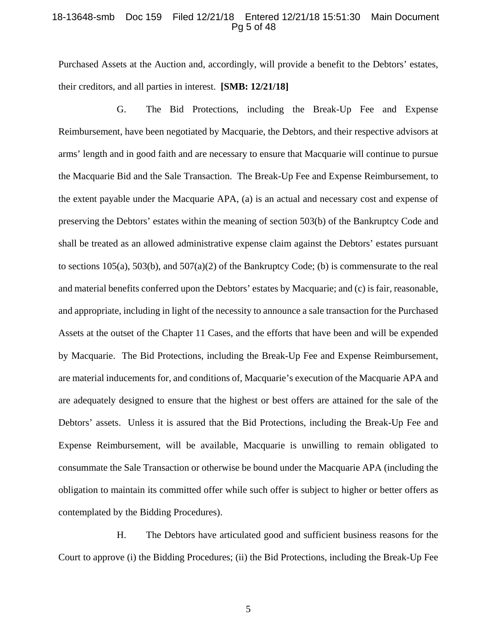#### 18-13648-smb Doc 159 Filed 12/21/18 Entered 12/21/18 15:51:30 Main Document Pg 5 of 48

Purchased Assets at the Auction and, accordingly, will provide a benefit to the Debtors' estates, their creditors, and all parties in interest. **[SMB: 12/21/18]**

G. The Bid Protections, including the Break-Up Fee and Expense Reimbursement, have been negotiated by Macquarie, the Debtors, and their respective advisors at arms' length and in good faith and are necessary to ensure that Macquarie will continue to pursue the Macquarie Bid and the Sale Transaction.The Break-Up Fee and Expense Reimbursement, to the extent payable under the Macquarie APA, (a) is an actual and necessary cost and expense of preserving the Debtors' estates within the meaning of section 503(b) of the Bankruptcy Code and shall be treated as an allowed administrative expense claim against the Debtors' estates pursuant to sections 105(a), 503(b), and 507(a)(2) of the Bankruptcy Code; (b) is commensurate to the real and material benefits conferred upon the Debtors' estates by Macquarie; and (c) is fair, reasonable, and appropriate, including in light of the necessity to announce a sale transaction for the Purchased Assets at the outset of the Chapter 11 Cases, and the efforts that have been and will be expended by Macquarie. The Bid Protections, including the Break-Up Fee and Expense Reimbursement, are material inducements for, and conditions of, Macquarie's execution of the Macquarie APA and are adequately designed to ensure that the highest or best offers are attained for the sale of the Debtors' assets. Unless it is assured that the Bid Protections, including the Break-Up Fee and Expense Reimbursement, will be available, Macquarie is unwilling to remain obligated to consummate the Sale Transaction or otherwise be bound under the Macquarie APA (including the obligation to maintain its committed offer while such offer is subject to higher or better offers as contemplated by the Bidding Procedures).

H. The Debtors have articulated good and sufficient business reasons for the Court to approve (i) the Bidding Procedures; (ii) the Bid Protections, including the Break-Up Fee

5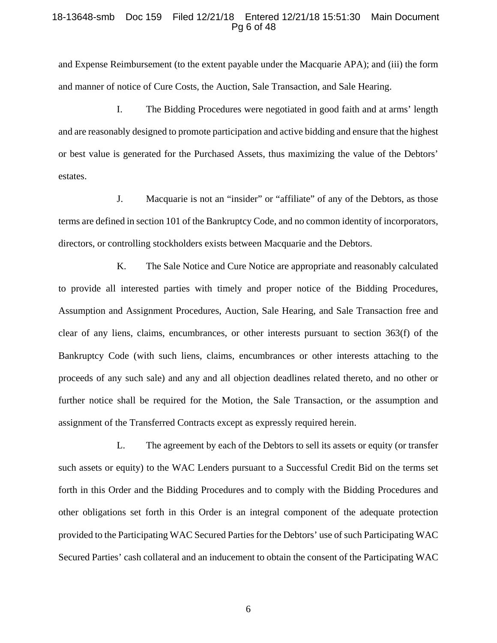#### 18-13648-smb Doc 159 Filed 12/21/18 Entered 12/21/18 15:51:30 Main Document Pg 6 of 48

and Expense Reimbursement (to the extent payable under the Macquarie APA); and (iii) the form and manner of notice of Cure Costs, the Auction, Sale Transaction, and Sale Hearing.

I. The Bidding Procedures were negotiated in good faith and at arms' length and are reasonably designed to promote participation and active bidding and ensure that the highest or best value is generated for the Purchased Assets, thus maximizing the value of the Debtors' estates.

J. Macquarie is not an "insider" or "affiliate" of any of the Debtors, as those terms are defined in section 101 of the Bankruptcy Code, and no common identity of incorporators, directors, or controlling stockholders exists between Macquarie and the Debtors.

K. The Sale Notice and Cure Notice are appropriate and reasonably calculated to provide all interested parties with timely and proper notice of the Bidding Procedures, Assumption and Assignment Procedures, Auction, Sale Hearing, and Sale Transaction free and clear of any liens, claims, encumbrances, or other interests pursuant to section 363(f) of the Bankruptcy Code (with such liens, claims, encumbrances or other interests attaching to the proceeds of any such sale) and any and all objection deadlines related thereto, and no other or further notice shall be required for the Motion, the Sale Transaction, or the assumption and assignment of the Transferred Contracts except as expressly required herein.

L. The agreement by each of the Debtors to sell its assets or equity (or transfer such assets or equity) to the WAC Lenders pursuant to a Successful Credit Bid on the terms set forth in this Order and the Bidding Procedures and to comply with the Bidding Procedures and other obligations set forth in this Order is an integral component of the adequate protection provided to the Participating WAC Secured Parties for the Debtors' use of such Participating WAC Secured Parties' cash collateral and an inducement to obtain the consent of the Participating WAC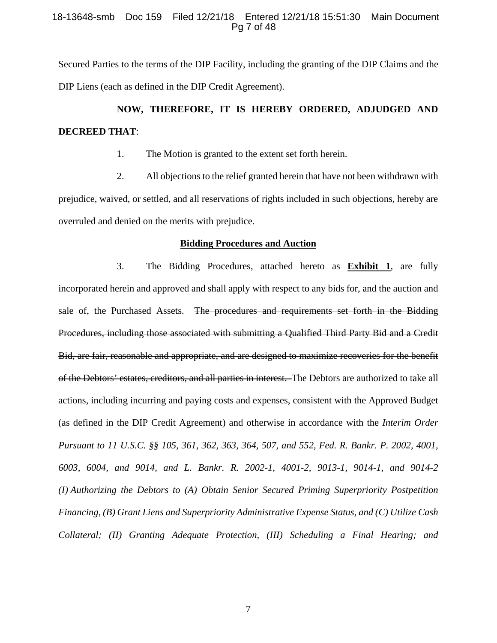#### 18-13648-smb Doc 159 Filed 12/21/18 Entered 12/21/18 15:51:30 Main Document Pg 7 of 48

Secured Parties to the terms of the DIP Facility, including the granting of the DIP Claims and the DIP Liens (each as defined in the DIP Credit Agreement).

# **NOW, THEREFORE, IT IS HEREBY ORDERED, ADJUDGED AND DECREED THAT**:

1. The Motion is granted to the extent set forth herein.

2. All objections to the relief granted herein that have not been withdrawn with prejudice, waived, or settled, and all reservations of rights included in such objections, hereby are overruled and denied on the merits with prejudice.

#### **Bidding Procedures and Auction**

3. The Bidding Procedures, attached hereto as **Exhibit 1**, are fully incorporated herein and approved and shall apply with respect to any bids for, and the auction and sale of, the Purchased Assets. The procedures and requirements set forth in the Bidding Procedures, including those associated with submitting a Qualified Third Party Bid and a Credit Bid, are fair, reasonable and appropriate, and are designed to maximize recoveries for the benefit of the Debtors' estates, creditors, and all parties in interest. The Debtors are authorized to take all actions, including incurring and paying costs and expenses, consistent with the Approved Budget (as defined in the DIP Credit Agreement) and otherwise in accordance with the *Interim Order Pursuant to 11 U.S.C. §§ 105, 361, 362, 363, 364, 507, and 552, Fed. R. Bankr. P. 2002, 4001, 6003, 6004, and 9014, and L. Bankr. R. 2002-1, 4001-2, 9013-1, 9014-1, and 9014-2 (I) Authorizing the Debtors to (A) Obtain Senior Secured Priming Superpriority Postpetition Financing, (B) Grant Liens and Superpriority Administrative Expense Status, and (C) Utilize Cash Collateral; (II) Granting Adequate Protection, (III) Scheduling a Final Hearing; and*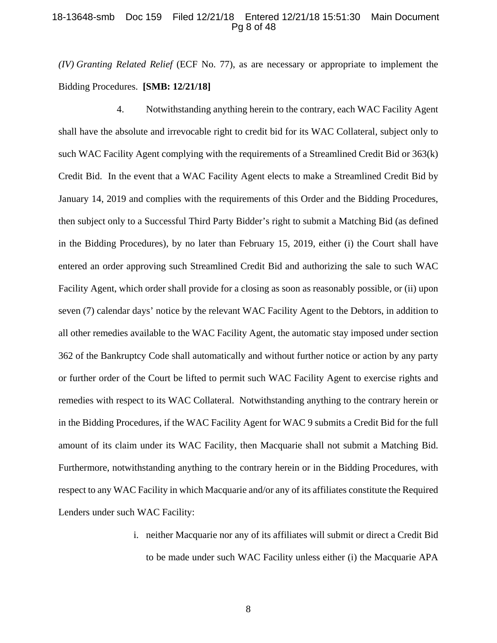#### 18-13648-smb Doc 159 Filed 12/21/18 Entered 12/21/18 15:51:30 Main Document Pg 8 of 48

*(IV) Granting Related Relief* (ECF No. 77), as are necessary or appropriate to implement the Bidding Procedures. **[SMB: 12/21/18]** 

4. Notwithstanding anything herein to the contrary, each WAC Facility Agent shall have the absolute and irrevocable right to credit bid for its WAC Collateral, subject only to such WAC Facility Agent complying with the requirements of a Streamlined Credit Bid or 363(k) Credit Bid. In the event that a WAC Facility Agent elects to make a Streamlined Credit Bid by January 14, 2019 and complies with the requirements of this Order and the Bidding Procedures, then subject only to a Successful Third Party Bidder's right to submit a Matching Bid (as defined in the Bidding Procedures), by no later than February 15, 2019, either (i) the Court shall have entered an order approving such Streamlined Credit Bid and authorizing the sale to such WAC Facility Agent, which order shall provide for a closing as soon as reasonably possible, or (ii) upon seven (7) calendar days' notice by the relevant WAC Facility Agent to the Debtors, in addition to all other remedies available to the WAC Facility Agent, the automatic stay imposed under section 362 of the Bankruptcy Code shall automatically and without further notice or action by any party or further order of the Court be lifted to permit such WAC Facility Agent to exercise rights and remedies with respect to its WAC Collateral. Notwithstanding anything to the contrary herein or in the Bidding Procedures, if the WAC Facility Agent for WAC 9 submits a Credit Bid for the full amount of its claim under its WAC Facility, then Macquarie shall not submit a Matching Bid. Furthermore, notwithstanding anything to the contrary herein or in the Bidding Procedures, with respect to any WAC Facility in which Macquarie and/or any of its affiliates constitute the Required Lenders under such WAC Facility:

> i. neither Macquarie nor any of its affiliates will submit or direct a Credit Bid to be made under such WAC Facility unless either (i) the Macquarie APA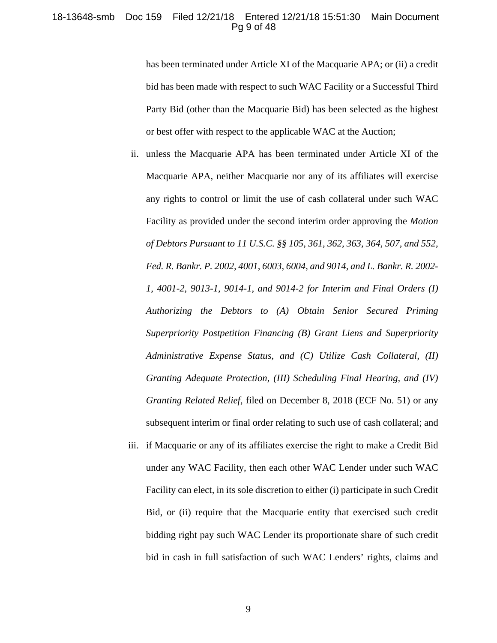#### 18-13648-smb Doc 159 Filed 12/21/18 Entered 12/21/18 15:51:30 Main Document Pg 9 of 48

has been terminated under Article XI of the Macquarie APA; or (ii) a credit bid has been made with respect to such WAC Facility or a Successful Third Party Bid (other than the Macquarie Bid) has been selected as the highest or best offer with respect to the applicable WAC at the Auction;

- ii. unless the Macquarie APA has been terminated under Article XI of the Macquarie APA, neither Macquarie nor any of its affiliates will exercise any rights to control or limit the use of cash collateral under such WAC Facility as provided under the second interim order approving the *Motion of Debtors Pursuant to 11 U.S.C. §§ 105, 361, 362, 363, 364, 507, and 552, Fed. R. Bankr. P. 2002, 4001, 6003, 6004, and 9014, and L. Bankr. R. 2002- 1, 4001-2, 9013-1, 9014-1, and 9014-2 for Interim and Final Orders (I) Authorizing the Debtors to (A) Obtain Senior Secured Priming Superpriority Postpetition Financing (B) Grant Liens and Superpriority Administrative Expense Status, and (C) Utilize Cash Collateral, (II) Granting Adequate Protection, (III) Scheduling Final Hearing, and (IV) Granting Related Relief*, filed on December 8, 2018 (ECF No. 51) or any subsequent interim or final order relating to such use of cash collateral; and
- iii. if Macquarie or any of its affiliates exercise the right to make a Credit Bid under any WAC Facility, then each other WAC Lender under such WAC Facility can elect, in its sole discretion to either (i) participate in such Credit Bid, or (ii) require that the Macquarie entity that exercised such credit bidding right pay such WAC Lender its proportionate share of such credit bid in cash in full satisfaction of such WAC Lenders' rights, claims and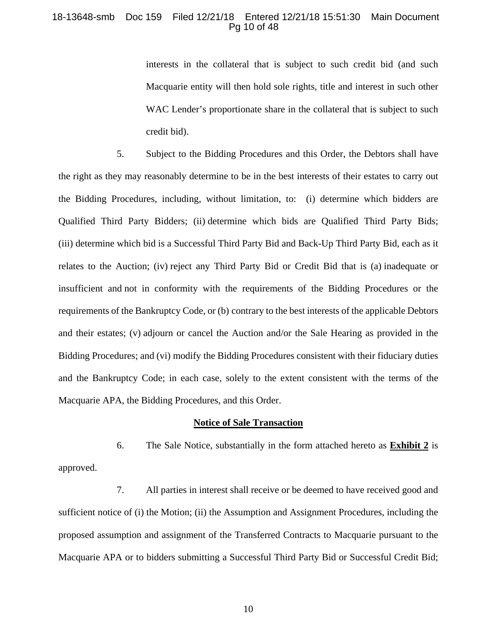#### 18-13648-smb Doc 159 Filed 12/21/18 Entered 12/21/18 15:51:30 Main Document Pg 10 of 48

interests in the collateral that is subject to such credit bid (and such Macquarie entity will then hold sole rights, title and interest in such other WAC Lender's proportionate share in the collateral that is subject to such credit bid).

5. Subject to the Bidding Procedures and this Order, the Debtors shall have the right as they may reasonably determine to be in the best interests of their estates to carry out the Bidding Procedures, including, without limitation, to: (i) determine which bidders are Qualified Third Party Bidders; (ii) determine which bids are Qualified Third Party Bids; (iii) determine which bid is a Successful Third Party Bid and Back-Up Third Party Bid, each as it relates to the Auction; (iv) reject any Third Party Bid or Credit Bid that is (a) inadequate or insufficient and not in conformity with the requirements of the Bidding Procedures or the requirements of the Bankruptcy Code, or (b) contrary to the best interests of the applicable Debtors and their estates; (v) adjourn or cancel the Auction and/or the Sale Hearing as provided in the Bidding Procedures; and (vi) modify the Bidding Procedures consistent with their fiduciary duties and the Bankruptcy Code; in each case, solely to the extent consistent with the terms of the Macquarie APA, the Bidding Procedures, and this Order.

#### **Notice of Sale Transaction**

6. The Sale Notice, substantially in the form attached hereto as **Exhibit 2** is approved.

7. All parties in interest shall receive or be deemed to have received good and sufficient notice of (i) the Motion; (ii) the Assumption and Assignment Procedures, including the proposed assumption and assignment of the Transferred Contracts to Macquarie pursuant to the Macquarie APA or to bidders submitting a Successful Third Party Bid or Successful Credit Bid;

10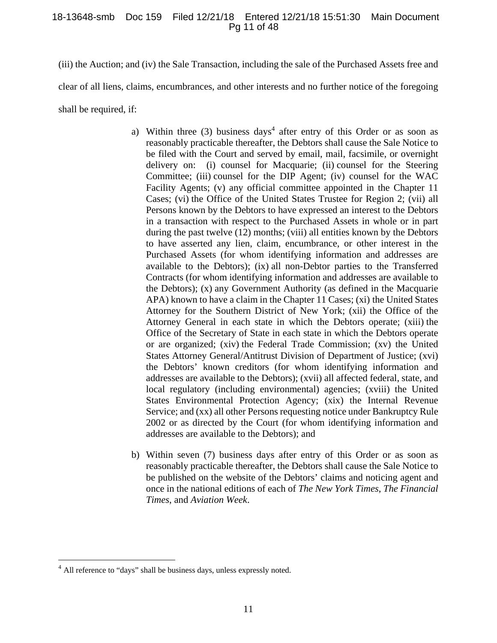#### 18-13648-smb Doc 159 Filed 12/21/18 Entered 12/21/18 15:51:30 Main Document Pg 11 of 48

(iii) the Auction; and (iv) the Sale Transaction, including the sale of the Purchased Assets free and clear of all liens, claims, encumbrances, and other interests and no further notice of the foregoing shall be required, if:

- a) Within three  $(3)$  business days<sup>4</sup> after entry of this Order or as soon as reasonably practicable thereafter, the Debtors shall cause the Sale Notice to be filed with the Court and served by email, mail, facsimile, or overnight delivery on: (i) counsel for Macquarie; (ii) counsel for the Steering Committee; (iii) counsel for the DIP Agent; (iv) counsel for the WAC Facility Agents; (v) any official committee appointed in the Chapter 11 Cases; (vi) the Office of the United States Trustee for Region 2; (vii) all Persons known by the Debtors to have expressed an interest to the Debtors in a transaction with respect to the Purchased Assets in whole or in part during the past twelve (12) months; (viii) all entities known by the Debtors to have asserted any lien, claim, encumbrance, or other interest in the Purchased Assets (for whom identifying information and addresses are available to the Debtors); (ix) all non-Debtor parties to the Transferred Contracts (for whom identifying information and addresses are available to the Debtors); (x) any Government Authority (as defined in the Macquarie APA) known to have a claim in the Chapter 11 Cases; (xi) the United States Attorney for the Southern District of New York; (xii) the Office of the Attorney General in each state in which the Debtors operate; (xiii) the Office of the Secretary of State in each state in which the Debtors operate or are organized; (xiv) the Federal Trade Commission; (xv) the United States Attorney General/Antitrust Division of Department of Justice; (xvi) the Debtors' known creditors (for whom identifying information and addresses are available to the Debtors); (xvii) all affected federal, state, and local regulatory (including environmental) agencies; (xviii) the United States Environmental Protection Agency; (xix) the Internal Revenue Service; and (xx) all other Persons requesting notice under Bankruptcy Rule 2002 or as directed by the Court (for whom identifying information and addresses are available to the Debtors); and
- b) Within seven (7) business days after entry of this Order or as soon as reasonably practicable thereafter, the Debtors shall cause the Sale Notice to be published on the website of the Debtors' claims and noticing agent and once in the national editions of each of *The New York Times*, *The Financial Times*, and *Aviation Week*.

 $\overline{a}$ 

<sup>&</sup>lt;sup>4</sup> All reference to "days" shall be business days, unless expressly noted.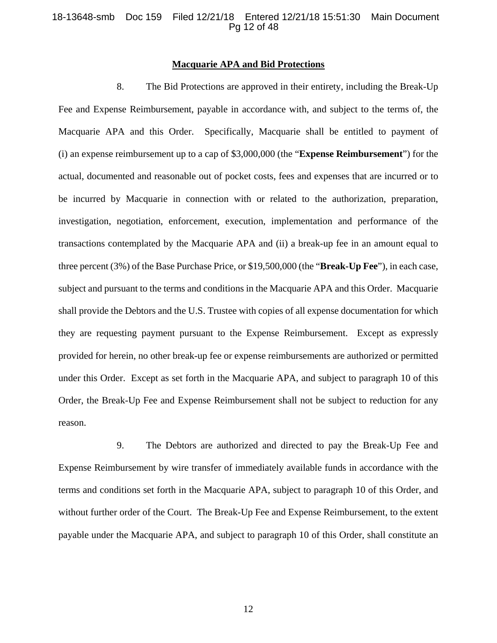#### 18-13648-smb Doc 159 Filed 12/21/18 Entered 12/21/18 15:51:30 Main Document Pg 12 of 48

#### **Macquarie APA and Bid Protections**

8. The Bid Protections are approved in their entirety, including the Break-Up Fee and Expense Reimbursement, payable in accordance with, and subject to the terms of, the Macquarie APA and this Order. Specifically, Macquarie shall be entitled to payment of (i) an expense reimbursement up to a cap of \$3,000,000 (the "**Expense Reimbursement**") for the actual, documented and reasonable out of pocket costs, fees and expenses that are incurred or to be incurred by Macquarie in connection with or related to the authorization, preparation, investigation, negotiation, enforcement, execution, implementation and performance of the transactions contemplated by the Macquarie APA and (ii) a break-up fee in an amount equal to three percent (3%) of the Base Purchase Price, or \$19,500,000 (the "**Break-Up Fee**"), in each case, subject and pursuant to the terms and conditions in the Macquarie APA and this Order. Macquarie shall provide the Debtors and the U.S. Trustee with copies of all expense documentation for which they are requesting payment pursuant to the Expense Reimbursement. Except as expressly provided for herein, no other break-up fee or expense reimbursements are authorized or permitted under this Order. Except as set forth in the Macquarie APA, and subject to paragraph 10 of this Order, the Break-Up Fee and Expense Reimbursement shall not be subject to reduction for any reason.

9. The Debtors are authorized and directed to pay the Break-Up Fee and Expense Reimbursement by wire transfer of immediately available funds in accordance with the terms and conditions set forth in the Macquarie APA, subject to paragraph 10 of this Order, and without further order of the Court. The Break-Up Fee and Expense Reimbursement, to the extent payable under the Macquarie APA, and subject to paragraph 10 of this Order, shall constitute an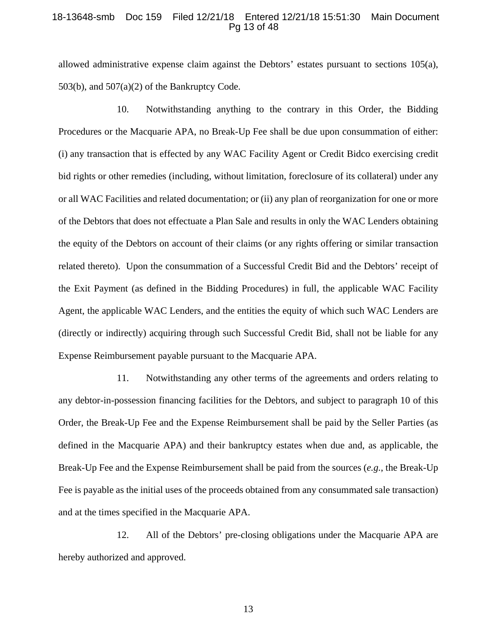#### 18-13648-smb Doc 159 Filed 12/21/18 Entered 12/21/18 15:51:30 Main Document Pg 13 of 48

allowed administrative expense claim against the Debtors' estates pursuant to sections 105(a), 503(b), and  $507(a)(2)$  of the Bankruptcy Code.

10. Notwithstanding anything to the contrary in this Order, the Bidding Procedures or the Macquarie APA, no Break-Up Fee shall be due upon consummation of either: (i) any transaction that is effected by any WAC Facility Agent or Credit Bidco exercising credit bid rights or other remedies (including, without limitation, foreclosure of its collateral) under any or all WAC Facilities and related documentation; or (ii) any plan of reorganization for one or more of the Debtors that does not effectuate a Plan Sale and results in only the WAC Lenders obtaining the equity of the Debtors on account of their claims (or any rights offering or similar transaction related thereto). Upon the consummation of a Successful Credit Bid and the Debtors' receipt of the Exit Payment (as defined in the Bidding Procedures) in full, the applicable WAC Facility Agent, the applicable WAC Lenders, and the entities the equity of which such WAC Lenders are (directly or indirectly) acquiring through such Successful Credit Bid, shall not be liable for any Expense Reimbursement payable pursuant to the Macquarie APA.

11. Notwithstanding any other terms of the agreements and orders relating to any debtor-in-possession financing facilities for the Debtors, and subject to paragraph 10 of this Order, the Break-Up Fee and the Expense Reimbursement shall be paid by the Seller Parties (as defined in the Macquarie APA) and their bankruptcy estates when due and, as applicable, the Break-Up Fee and the Expense Reimbursement shall be paid from the sources (*e.g.*, the Break-Up Fee is payable as the initial uses of the proceeds obtained from any consummated sale transaction) and at the times specified in the Macquarie APA.

12. All of the Debtors' pre-closing obligations under the Macquarie APA are hereby authorized and approved.

13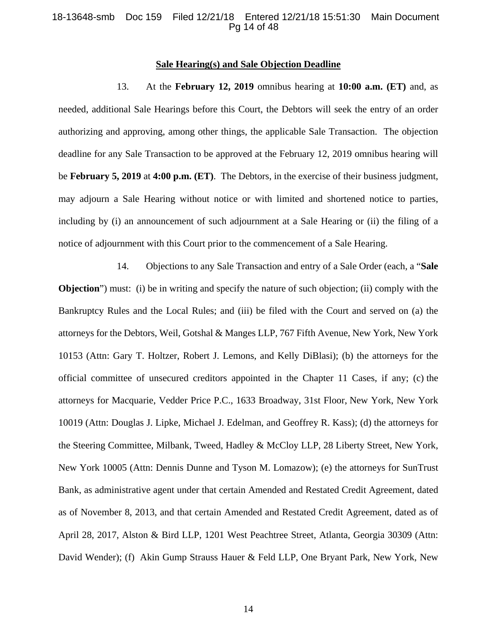#### 18-13648-smb Doc 159 Filed 12/21/18 Entered 12/21/18 15:51:30 Main Document Pg 14 of 48

#### **Sale Hearing(s) and Sale Objection Deadline**

13. At the **February 12, 2019** omnibus hearing at **10:00 a.m. (ET)** and, as needed, additional Sale Hearings before this Court, the Debtors will seek the entry of an order authorizing and approving, among other things, the applicable Sale Transaction. The objection deadline for any Sale Transaction to be approved at the February 12, 2019 omnibus hearing will be **February 5, 2019** at **4:00 p.m. (ET)**. The Debtors, in the exercise of their business judgment, may adjourn a Sale Hearing without notice or with limited and shortened notice to parties, including by (i) an announcement of such adjournment at a Sale Hearing or (ii) the filing of a notice of adjournment with this Court prior to the commencement of a Sale Hearing.

14. Objections to any Sale Transaction and entry of a Sale Order (each, a "**Sale Objection**") must: (i) be in writing and specify the nature of such objection; (ii) comply with the Bankruptcy Rules and the Local Rules; and (iii) be filed with the Court and served on (a) the attorneys for the Debtors, Weil, Gotshal & Manges LLP, 767 Fifth Avenue, New York, New York 10153 (Attn: Gary T. Holtzer, Robert J. Lemons, and Kelly DiBlasi); (b) the attorneys for the official committee of unsecured creditors appointed in the Chapter 11 Cases, if any; (c) the attorneys for Macquarie, Vedder Price P.C., 1633 Broadway, 31st Floor, New York, New York 10019 (Attn: Douglas J. Lipke, Michael J. Edelman, and Geoffrey R. Kass); (d) the attorneys for the Steering Committee, Milbank, Tweed, Hadley & McCloy LLP, 28 Liberty Street, New York, New York 10005 (Attn: Dennis Dunne and Tyson M. Lomazow); (e) the attorneys for SunTrust Bank, as administrative agent under that certain Amended and Restated Credit Agreement, dated as of November 8, 2013, and that certain Amended and Restated Credit Agreement, dated as of April 28, 2017, Alston & Bird LLP, 1201 West Peachtree Street, Atlanta, Georgia 30309 (Attn: David Wender); (f) Akin Gump Strauss Hauer & Feld LLP, One Bryant Park, New York, New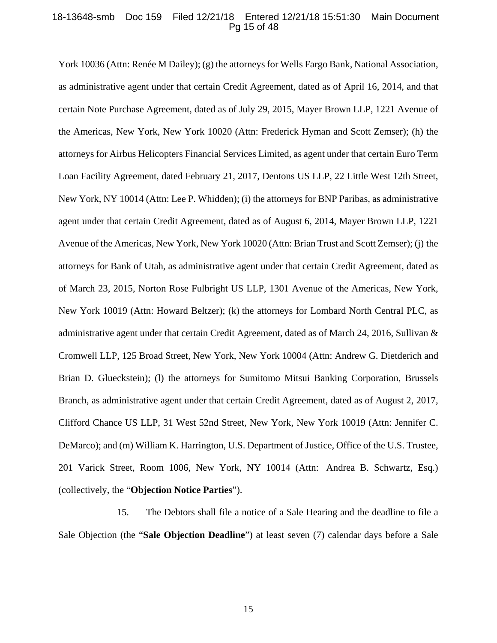#### 18-13648-smb Doc 159 Filed 12/21/18 Entered 12/21/18 15:51:30 Main Document Pg 15 of 48

York 10036 (Attn: Renée M Dailey); (g) the attorneys for Wells Fargo Bank, National Association, as administrative agent under that certain Credit Agreement, dated as of April 16, 2014, and that certain Note Purchase Agreement, dated as of July 29, 2015, Mayer Brown LLP, 1221 Avenue of the Americas, New York, New York 10020 (Attn: Frederick Hyman and Scott Zemser); (h) the attorneys for Airbus Helicopters Financial Services Limited, as agent under that certain Euro Term Loan Facility Agreement, dated February 21, 2017, Dentons US LLP, 22 Little West 12th Street, New York, NY 10014 (Attn: Lee P. Whidden); (i) the attorneys for BNP Paribas, as administrative agent under that certain Credit Agreement, dated as of August 6, 2014, Mayer Brown LLP, 1221 Avenue of the Americas, New York, New York 10020 (Attn: Brian Trust and Scott Zemser); (j) the attorneys for Bank of Utah, as administrative agent under that certain Credit Agreement, dated as of March 23, 2015, Norton Rose Fulbright US LLP, 1301 Avenue of the Americas, New York, New York 10019 (Attn: Howard Beltzer); (k) the attorneys for Lombard North Central PLC, as administrative agent under that certain Credit Agreement, dated as of March 24, 2016, Sullivan & Cromwell LLP, 125 Broad Street, New York, New York 10004 (Attn: Andrew G. Dietderich and Brian D. Glueckstein); (l) the attorneys for Sumitomo Mitsui Banking Corporation, Brussels Branch, as administrative agent under that certain Credit Agreement, dated as of August 2, 2017, Clifford Chance US LLP, 31 West 52nd Street, New York, New York 10019 (Attn: Jennifer C. DeMarco); and (m) William K. Harrington, U.S. Department of Justice, Office of the U.S. Trustee, 201 Varick Street, Room 1006, New York, NY 10014 (Attn: Andrea B. Schwartz, Esq.) (collectively, the "**Objection Notice Parties**").

15. The Debtors shall file a notice of a Sale Hearing and the deadline to file a Sale Objection (the "**Sale Objection Deadline**") at least seven (7) calendar days before a Sale

15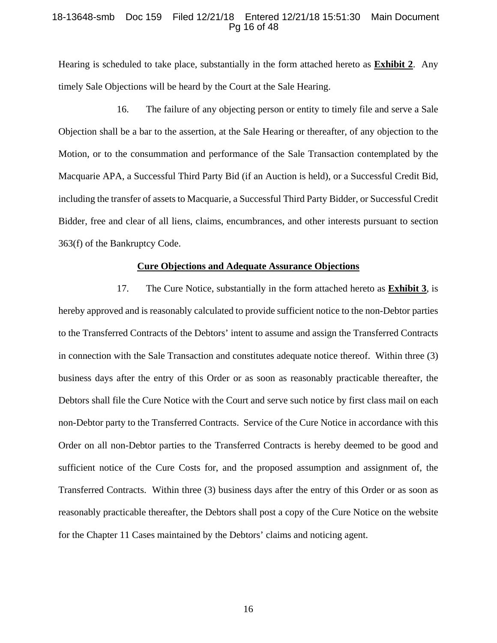#### 18-13648-smb Doc 159 Filed 12/21/18 Entered 12/21/18 15:51:30 Main Document Pg 16 of 48

Hearing is scheduled to take place, substantially in the form attached hereto as **Exhibit 2**. Any timely Sale Objections will be heard by the Court at the Sale Hearing.

16. The failure of any objecting person or entity to timely file and serve a Sale Objection shall be a bar to the assertion, at the Sale Hearing or thereafter, of any objection to the Motion, or to the consummation and performance of the Sale Transaction contemplated by the Macquarie APA, a Successful Third Party Bid (if an Auction is held), or a Successful Credit Bid, including the transfer of assets to Macquarie, a Successful Third Party Bidder, or Successful Credit Bidder, free and clear of all liens, claims, encumbrances, and other interests pursuant to section 363(f) of the Bankruptcy Code.

#### **Cure Objections and Adequate Assurance Objections**

17. The Cure Notice, substantially in the form attached hereto as **Exhibit 3**, is hereby approved and is reasonably calculated to provide sufficient notice to the non-Debtor parties to the Transferred Contracts of the Debtors' intent to assume and assign the Transferred Contracts in connection with the Sale Transaction and constitutes adequate notice thereof. Within three (3) business days after the entry of this Order or as soon as reasonably practicable thereafter, the Debtors shall file the Cure Notice with the Court and serve such notice by first class mail on each non-Debtor party to the Transferred Contracts. Service of the Cure Notice in accordance with this Order on all non-Debtor parties to the Transferred Contracts is hereby deemed to be good and sufficient notice of the Cure Costs for, and the proposed assumption and assignment of, the Transferred Contracts. Within three (3) business days after the entry of this Order or as soon as reasonably practicable thereafter, the Debtors shall post a copy of the Cure Notice on the website for the Chapter 11 Cases maintained by the Debtors' claims and noticing agent.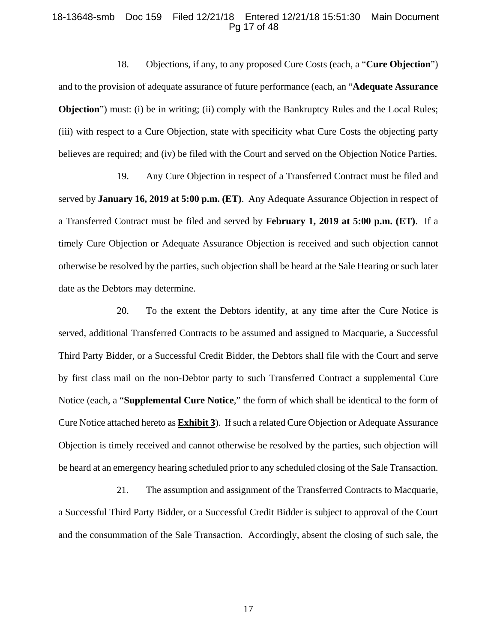#### 18-13648-smb Doc 159 Filed 12/21/18 Entered 12/21/18 15:51:30 Main Document Pg 17 of 48

18. Objections, if any, to any proposed Cure Costs (each, a "**Cure Objection**") and to the provision of adequate assurance of future performance (each, an "**Adequate Assurance Objection**") must: (i) be in writing; (ii) comply with the Bankruptcy Rules and the Local Rules; (iii) with respect to a Cure Objection, state with specificity what Cure Costs the objecting party believes are required; and (iv) be filed with the Court and served on the Objection Notice Parties.

19. Any Cure Objection in respect of a Transferred Contract must be filed and served by **January 16, 2019 at 5:00 p.m. (ET)**. Any Adequate Assurance Objection in respect of a Transferred Contract must be filed and served by **February 1, 2019 at 5:00 p.m. (ET)**. If a timely Cure Objection or Adequate Assurance Objection is received and such objection cannot otherwise be resolved by the parties, such objection shall be heard at the Sale Hearing or such later date as the Debtors may determine.

20. To the extent the Debtors identify, at any time after the Cure Notice is served, additional Transferred Contracts to be assumed and assigned to Macquarie, a Successful Third Party Bidder, or a Successful Credit Bidder, the Debtors shall file with the Court and serve by first class mail on the non-Debtor party to such Transferred Contract a supplemental Cure Notice (each, a "**Supplemental Cure Notice**," the form of which shall be identical to the form of Cure Notice attached hereto as **Exhibit 3**). If such a related Cure Objection or Adequate Assurance Objection is timely received and cannot otherwise be resolved by the parties, such objection will be heard at an emergency hearing scheduled prior to any scheduled closing of the Sale Transaction.

21. The assumption and assignment of the Transferred Contracts to Macquarie, a Successful Third Party Bidder, or a Successful Credit Bidder is subject to approval of the Court and the consummation of the Sale Transaction. Accordingly, absent the closing of such sale, the

17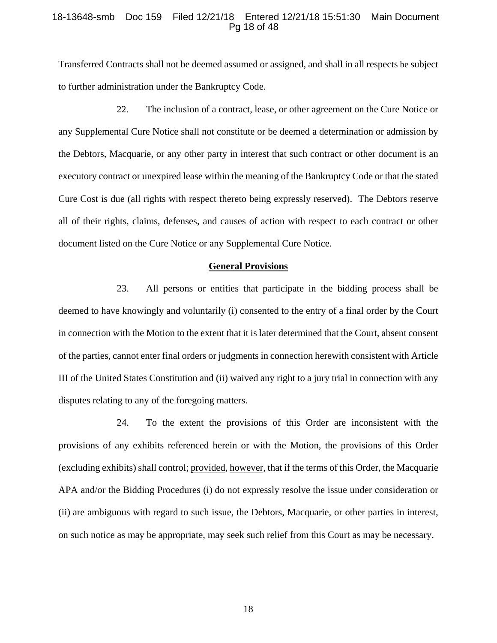#### 18-13648-smb Doc 159 Filed 12/21/18 Entered 12/21/18 15:51:30 Main Document Pg 18 of 48

Transferred Contracts shall not be deemed assumed or assigned, and shall in all respects be subject to further administration under the Bankruptcy Code.

22. The inclusion of a contract, lease, or other agreement on the Cure Notice or any Supplemental Cure Notice shall not constitute or be deemed a determination or admission by the Debtors, Macquarie, or any other party in interest that such contract or other document is an executory contract or unexpired lease within the meaning of the Bankruptcy Code or that the stated Cure Cost is due (all rights with respect thereto being expressly reserved). The Debtors reserve all of their rights, claims, defenses, and causes of action with respect to each contract or other document listed on the Cure Notice or any Supplemental Cure Notice.

#### **General Provisions**

23. All persons or entities that participate in the bidding process shall be deemed to have knowingly and voluntarily (i) consented to the entry of a final order by the Court in connection with the Motion to the extent that it is later determined that the Court, absent consent of the parties, cannot enter final orders or judgments in connection herewith consistent with Article III of the United States Constitution and (ii) waived any right to a jury trial in connection with any disputes relating to any of the foregoing matters.

24. To the extent the provisions of this Order are inconsistent with the provisions of any exhibits referenced herein or with the Motion, the provisions of this Order (excluding exhibits) shall control; provided, however, that if the terms of this Order, the Macquarie APA and/or the Bidding Procedures (i) do not expressly resolve the issue under consideration or (ii) are ambiguous with regard to such issue, the Debtors, Macquarie, or other parties in interest, on such notice as may be appropriate, may seek such relief from this Court as may be necessary.

18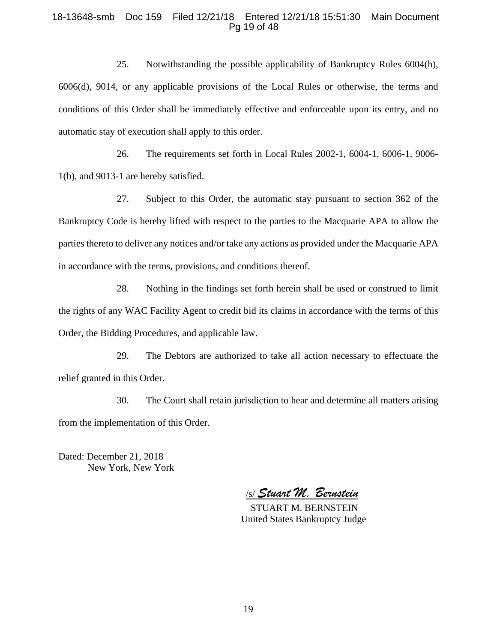#### 18-13648-smb Doc 159 Filed 12/21/18 Entered 12/21/18 15:51:30 Main Document Pg 19 of 48

25. Notwithstanding the possible applicability of Bankruptcy Rules 6004(h), 6006(d), 9014, or any applicable provisions of the Local Rules or otherwise, the terms and conditions of this Order shall be immediately effective and enforceable upon its entry, and no automatic stay of execution shall apply to this order.

26. The requirements set forth in Local Rules 2002-1, 6004-1, 6006-1, 9006- 1(b), and 9013-1 are hereby satisfied.

27. Subject to this Order, the automatic stay pursuant to section 362 of the Bankruptcy Code is hereby lifted with respect to the parties to the Macquarie APA to allow the parties thereto to deliver any notices and/or take any actions as provided under the Macquarie APA in accordance with the terms, provisions, and conditions thereof.

28. Nothing in the findings set forth herein shall be used or construed to limit the rights of any WAC Facility Agent to credit bid its claims in accordance with the terms of this Order, the Bidding Procedures, and applicable law.

29. The Debtors are authorized to take all action necessary to effectuate the relief granted in this Order.

30. The Court shall retain jurisdiction to hear and determine all matters arising from the implementation of this Order.

Dated: December 21, 2018 New York, New York

/s/ *Stuart M. Bernstein* 

 STUART M. BERNSTEIN United States Bankruptcy Judge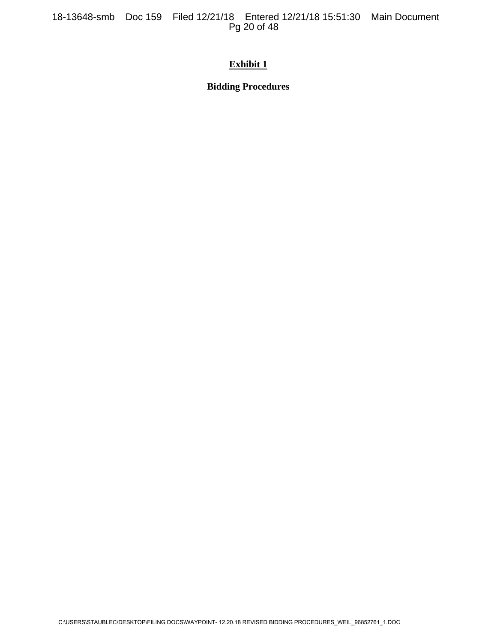18-13648-smb Doc 159 Filed 12/21/18 Entered 12/21/18 15:51:30 Main Document Pg 20 of 48

## **Exhibit 1**

**Bidding Procedures**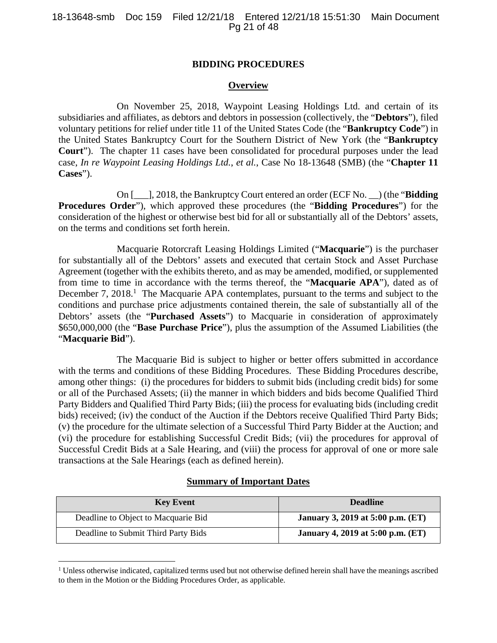### **BIDDING PROCEDURES**

### **Overview**

On November 25, 2018, Waypoint Leasing Holdings Ltd. and certain of its subsidiaries and affiliates, as debtors and debtors in possession (collectively, the "**Debtors**"), filed voluntary petitions for relief under title 11 of the United States Code (the "**Bankruptcy Code**") in the United States Bankruptcy Court for the Southern District of New York (the "**Bankruptcy Court**"). The chapter 11 cases have been consolidated for procedural purposes under the lead case, *In re Waypoint Leasing Holdings Ltd.*, *et al.*, Case No 18-13648 (SMB) (the "**Chapter 11 Cases**").

On [\_\_\_], 2018, the Bankruptcy Court entered an order (ECF No. \_\_) (the "**Bidding Procedures Order**"), which approved these procedures (the "**Bidding Procedures**") for the consideration of the highest or otherwise best bid for all or substantially all of the Debtors' assets, on the terms and conditions set forth herein.

Macquarie Rotorcraft Leasing Holdings Limited ("**Macquarie**") is the purchaser for substantially all of the Debtors' assets and executed that certain Stock and Asset Purchase Agreement (together with the exhibits thereto, and as may be amended, modified, or supplemented from time to time in accordance with the terms thereof, the "**Macquarie APA**"), dated as of December 7, 2018.<sup>1</sup> The Macquarie APA contemplates, pursuant to the terms and subject to the conditions and purchase price adjustments contained therein, the sale of substantially all of the Debtors' assets (the "**Purchased Assets**") to Macquarie in consideration of approximately \$650,000,000 (the "**Base Purchase Price**"), plus the assumption of the Assumed Liabilities (the "**Macquarie Bid**").

The Macquarie Bid is subject to higher or better offers submitted in accordance with the terms and conditions of these Bidding Procedures. These Bidding Procedures describe, among other things: (i) the procedures for bidders to submit bids (including credit bids) for some or all of the Purchased Assets; (ii) the manner in which bidders and bids become Qualified Third Party Bidders and Qualified Third Party Bids; (iii) the process for evaluating bids (including credit bids) received; (iv) the conduct of the Auction if the Debtors receive Qualified Third Party Bids; (v) the procedure for the ultimate selection of a Successful Third Party Bidder at the Auction; and (vi) the procedure for establishing Successful Credit Bids; (vii) the procedures for approval of Successful Credit Bids at a Sale Hearing, and (viii) the process for approval of one or more sale transactions at the Sale Hearings (each as defined herein).

#### **Summary of Important Dates**

| <b>Key Event</b>                    | <b>Deadline</b>                          |
|-------------------------------------|------------------------------------------|
| Deadline to Object to Macquarie Bid | <b>January 3, 2019 at 5:00 p.m. (ET)</b> |
| Deadline to Submit Third Party Bids | January 4, 2019 at 5:00 p.m. (ET)        |

<sup>&</sup>lt;sup>1</sup> Unless otherwise indicated, capitalized terms used but not otherwise defined herein shall have the meanings ascribed to them in the Motion or the Bidding Procedures Order, as applicable.

 $\overline{a}$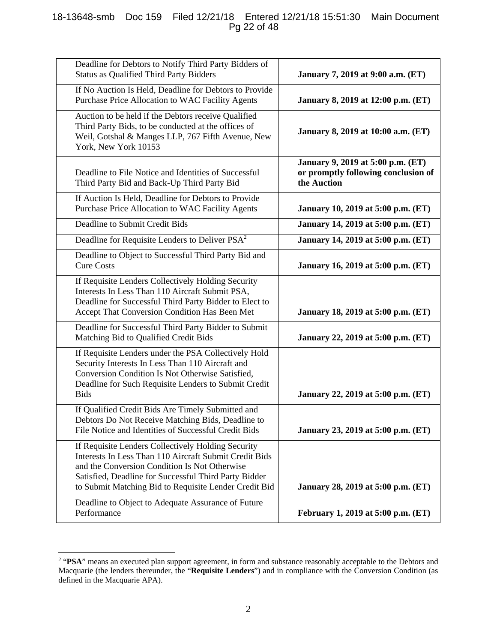## 18-13648-smb Doc 159 Filed 12/21/18 Entered 12/21/18 15:51:30 Main Document Pg 22 of 48

| Deadline for Debtors to Notify Third Party Bidders of<br><b>Status as Qualified Third Party Bidders</b>                                                                                                                                                                         | January 7, 2019 at 9:00 a.m. (ET)                                                       |
|---------------------------------------------------------------------------------------------------------------------------------------------------------------------------------------------------------------------------------------------------------------------------------|-----------------------------------------------------------------------------------------|
| If No Auction Is Held, Deadline for Debtors to Provide<br>Purchase Price Allocation to WAC Facility Agents                                                                                                                                                                      | January 8, 2019 at 12:00 p.m. (ET)                                                      |
| Auction to be held if the Debtors receive Qualified<br>Third Party Bids, to be conducted at the offices of<br>Weil, Gotshal & Manges LLP, 767 Fifth Avenue, New<br>York, New York 10153                                                                                         | January 8, 2019 at 10:00 a.m. (ET)                                                      |
| Deadline to File Notice and Identities of Successful<br>Third Party Bid and Back-Up Third Party Bid                                                                                                                                                                             | January 9, 2019 at 5:00 p.m. (ET)<br>or promptly following conclusion of<br>the Auction |
| If Auction Is Held, Deadline for Debtors to Provide<br>Purchase Price Allocation to WAC Facility Agents                                                                                                                                                                         | January 10, 2019 at 5:00 p.m. (ET)                                                      |
| Deadline to Submit Credit Bids                                                                                                                                                                                                                                                  | January 14, 2019 at 5:00 p.m. (ET)                                                      |
| Deadline for Requisite Lenders to Deliver PSA <sup>2</sup>                                                                                                                                                                                                                      | January 14, 2019 at 5:00 p.m. (ET)                                                      |
| Deadline to Object to Successful Third Party Bid and<br><b>Cure Costs</b>                                                                                                                                                                                                       | January 16, 2019 at 5:00 p.m. (ET)                                                      |
| If Requisite Lenders Collectively Holding Security<br>Interests In Less Than 110 Aircraft Submit PSA,<br>Deadline for Successful Third Party Bidder to Elect to<br>Accept That Conversion Condition Has Been Met                                                                | January 18, 2019 at 5:00 p.m. (ET)                                                      |
| Deadline for Successful Third Party Bidder to Submit<br>Matching Bid to Qualified Credit Bids                                                                                                                                                                                   | January 22, 2019 at 5:00 p.m. (ET)                                                      |
| If Requisite Lenders under the PSA Collectively Hold<br>Security Interests In Less Than 110 Aircraft and<br>Conversion Condition Is Not Otherwise Satisfied,<br>Deadline for Such Requisite Lenders to Submit Credit<br><b>Bids</b>                                             | January 22, 2019 at 5:00 p.m. (ET)                                                      |
| If Qualified Credit Bids Are Timely Submitted and<br>Debtors Do Not Receive Matching Bids, Deadline to<br>File Notice and Identities of Successful Credit Bids                                                                                                                  | January 23, 2019 at 5:00 p.m. (ET)                                                      |
| If Requisite Lenders Collectively Holding Security<br>Interests In Less Than 110 Aircraft Submit Credit Bids<br>and the Conversion Condition Is Not Otherwise<br>Satisfied, Deadline for Successful Third Party Bidder<br>to Submit Matching Bid to Requisite Lender Credit Bid | January 28, 2019 at 5:00 p.m. (ET)                                                      |
| Deadline to Object to Adequate Assurance of Future<br>Performance                                                                                                                                                                                                               | February 1, 2019 at 5:00 p.m. (ET)                                                      |

<sup>&</sup>lt;sup>2</sup> "PSA" means an executed plan support agreement, in form and substance reasonably acceptable to the Debtors and Macquarie (the lenders thereunder, the "**Requisite Lenders**") and in compliance with the Conversion Condition (as defined in the Macquarie APA).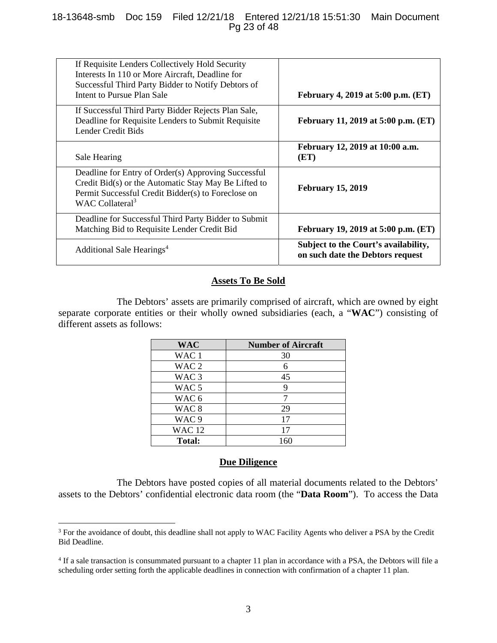## 18-13648-smb Doc 159 Filed 12/21/18 Entered 12/21/18 15:51:30 Main Document Pg 23 of 48

| If Requisite Lenders Collectively Hold Security<br>Interests In 110 or More Aircraft, Deadline for<br>Successful Third Party Bidder to Notify Debtors of<br>Intent to Pursue Plan Sale           | <b>February 4, 2019 at 5:00 p.m. (ET)</b>                                |
|--------------------------------------------------------------------------------------------------------------------------------------------------------------------------------------------------|--------------------------------------------------------------------------|
| If Successful Third Party Bidder Rejects Plan Sale,<br>Deadline for Requisite Lenders to Submit Requisite<br>Lender Credit Bids                                                                  | February 11, 2019 at 5:00 p.m. (ET)                                      |
| Sale Hearing                                                                                                                                                                                     | February 12, 2019 at 10:00 a.m.<br>(ET)                                  |
| Deadline for Entry of Order(s) Approving Successful<br>Credit Bid(s) or the Automatic Stay May Be Lifted to<br>Permit Successful Credit Bidder(s) to Foreclose on<br>WAC Collateral <sup>3</sup> | <b>February 15, 2019</b>                                                 |
| Deadline for Successful Third Party Bidder to Submit<br>Matching Bid to Requisite Lender Credit Bid                                                                                              | February 19, 2019 at 5:00 p.m. (ET)                                      |
| Additional Sale Hearings <sup>4</sup>                                                                                                                                                            | Subject to the Court's availability,<br>on such date the Debtors request |
|                                                                                                                                                                                                  |                                                                          |

## **Assets To Be Sold**

The Debtors' assets are primarily comprised of aircraft, which are owned by eight separate corporate entities or their wholly owned subsidiaries (each, a "**WAC**") consisting of different assets as follows:

| <b>WAC</b>       | <b>Number of Aircraft</b> |
|------------------|---------------------------|
| WAC <sub>1</sub> | 30                        |
| WAC <sub>2</sub> | 6                         |
| WAC <sub>3</sub> | 45                        |
| WAC <sub>5</sub> | 9                         |
| WAC <sub>6</sub> |                           |
| WAC <sub>8</sub> | 29                        |
| WAC <sub>9</sub> | 17                        |
| <b>WAC12</b>     | 17                        |
| <b>Total:</b>    | 160                       |

## **Due Diligence**

The Debtors have posted copies of all material documents related to the Debtors' assets to the Debtors' confidential electronic data room (the "**Data Room**"). To access the Data

 $\overline{a}$ 

<sup>&</sup>lt;sup>3</sup> For the avoidance of doubt, this deadline shall not apply to WAC Facility Agents who deliver a PSA by the Credit Bid Deadline.

<sup>&</sup>lt;sup>4</sup> If a sale transaction is consummated pursuant to a chapter 11 plan in accordance with a PSA, the Debtors will file a scheduling order setting forth the applicable deadlines in connection with confirmation of a chapter 11 plan.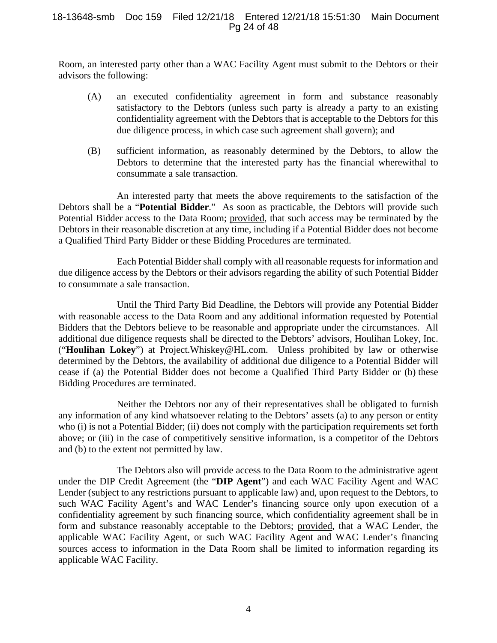#### 18-13648-smb Doc 159 Filed 12/21/18 Entered 12/21/18 15:51:30 Main Document Pg 24 of 48

Room, an interested party other than a WAC Facility Agent must submit to the Debtors or their advisors the following:

- (A) an executed confidentiality agreement in form and substance reasonably satisfactory to the Debtors (unless such party is already a party to an existing confidentiality agreement with the Debtors that is acceptable to the Debtors for this due diligence process, in which case such agreement shall govern); and
- (B) sufficient information, as reasonably determined by the Debtors, to allow the Debtors to determine that the interested party has the financial wherewithal to consummate a sale transaction.

An interested party that meets the above requirements to the satisfaction of the Debtors shall be a "**Potential Bidder**." As soon as practicable, the Debtors will provide such Potential Bidder access to the Data Room; provided, that such access may be terminated by the Debtors in their reasonable discretion at any time, including if a Potential Bidder does not become a Qualified Third Party Bidder or these Bidding Procedures are terminated.

Each Potential Bidder shall comply with all reasonable requests for information and due diligence access by the Debtors or their advisors regarding the ability of such Potential Bidder to consummate a sale transaction.

Until the Third Party Bid Deadline, the Debtors will provide any Potential Bidder with reasonable access to the Data Room and any additional information requested by Potential Bidders that the Debtors believe to be reasonable and appropriate under the circumstances. All additional due diligence requests shall be directed to the Debtors' advisors, Houlihan Lokey, Inc. ("**Houlihan Lokey**") at Project.Whiskey@HL.com. Unless prohibited by law or otherwise determined by the Debtors, the availability of additional due diligence to a Potential Bidder will cease if (a) the Potential Bidder does not become a Qualified Third Party Bidder or (b) these Bidding Procedures are terminated.

Neither the Debtors nor any of their representatives shall be obligated to furnish any information of any kind whatsoever relating to the Debtors' assets (a) to any person or entity who (i) is not a Potential Bidder; (ii) does not comply with the participation requirements set forth above; or (iii) in the case of competitively sensitive information, is a competitor of the Debtors and (b) to the extent not permitted by law.

The Debtors also will provide access to the Data Room to the administrative agent under the DIP Credit Agreement (the "**DIP Agent**") and each WAC Facility Agent and WAC Lender (subject to any restrictions pursuant to applicable law) and, upon request to the Debtors, to such WAC Facility Agent's and WAC Lender's financing source only upon execution of a confidentiality agreement by such financing source, which confidentiality agreement shall be in form and substance reasonably acceptable to the Debtors; provided, that a WAC Lender, the applicable WAC Facility Agent, or such WAC Facility Agent and WAC Lender's financing sources access to information in the Data Room shall be limited to information regarding its applicable WAC Facility.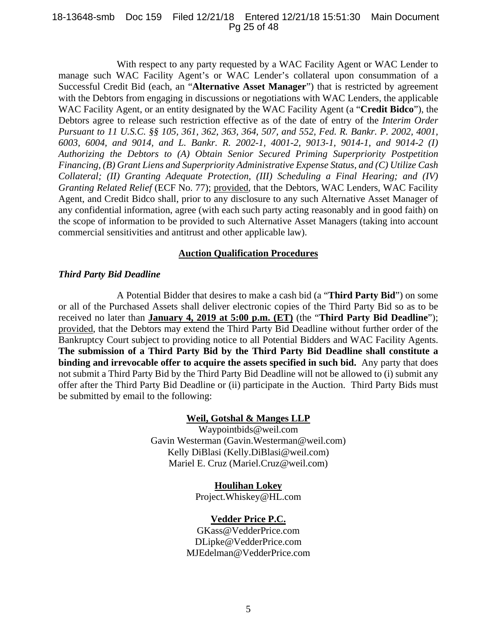#### 18-13648-smb Doc 159 Filed 12/21/18 Entered 12/21/18 15:51:30 Main Document Pg 25 of 48

With respect to any party requested by a WAC Facility Agent or WAC Lender to manage such WAC Facility Agent's or WAC Lender's collateral upon consummation of a Successful Credit Bid (each, an "**Alternative Asset Manager**") that is restricted by agreement with the Debtors from engaging in discussions or negotiations with WAC Lenders, the applicable WAC Facility Agent, or an entity designated by the WAC Facility Agent (a "**Credit Bidco**"), the Debtors agree to release such restriction effective as of the date of entry of the *Interim Order Pursuant to 11 U.S.C. §§ 105, 361, 362, 363, 364, 507, and 552, Fed. R. Bankr. P. 2002, 4001, 6003, 6004, and 9014, and L. Bankr. R. 2002-1, 4001-2, 9013-1, 9014-1, and 9014-2 (I) Authorizing the Debtors to (A) Obtain Senior Secured Priming Superpriority Postpetition Financing, (B) Grant Liens and Superpriority Administrative Expense Status, and (C) Utilize Cash Collateral; (II) Granting Adequate Protection, (III) Scheduling a Final Hearing; and (IV) Granting Related Relief* (ECF No. 77); provided, that the Debtors, WAC Lenders, WAC Facility Agent, and Credit Bidco shall, prior to any disclosure to any such Alternative Asset Manager of any confidential information, agree (with each such party acting reasonably and in good faith) on the scope of information to be provided to such Alternative Asset Managers (taking into account commercial sensitivities and antitrust and other applicable law).

## **Auction Qualification Procedures**

#### *Third Party Bid Deadline*

A Potential Bidder that desires to make a cash bid (a "**Third Party Bid**") on some or all of the Purchased Assets shall deliver electronic copies of the Third Party Bid so as to be received no later than **January 4, 2019 at 5:00 p.m. (ET)** (the "**Third Party Bid Deadline**"); provided, that the Debtors may extend the Third Party Bid Deadline without further order of the Bankruptcy Court subject to providing notice to all Potential Bidders and WAC Facility Agents. **The submission of a Third Party Bid by the Third Party Bid Deadline shall constitute a binding and irrevocable offer to acquire the assets specified in such bid.** Any party that does not submit a Third Party Bid by the Third Party Bid Deadline will not be allowed to (i) submit any offer after the Third Party Bid Deadline or (ii) participate in the Auction. Third Party Bids must be submitted by email to the following:

## **Weil, Gotshal & Manges LLP**

Waypointbids@weil.com Gavin Westerman (Gavin.Westerman@weil.com) Kelly DiBlasi (Kelly.DiBlasi@weil.com) Mariel E. Cruz (Mariel.Cruz@weil.com)

> **Houlihan Lokey**  Project.Whiskey@HL.com

## **Vedder Price P.C.**

GKass@VedderPrice.com DLipke@VedderPrice.com MJEdelman@VedderPrice.com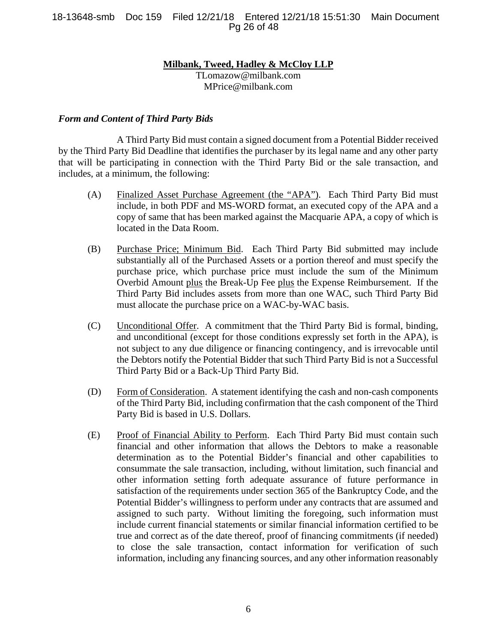18-13648-smb Doc 159 Filed 12/21/18 Entered 12/21/18 15:51:30 Main Document Pg 26 of 48

#### **Milbank, Tweed, Hadley & McCloy LLP**

TLomazow@milbank.com MPrice@milbank.com

#### *Form and Content of Third Party Bids*

A Third Party Bid must contain a signed document from a Potential Bidder received by the Third Party Bid Deadline that identifies the purchaser by its legal name and any other party that will be participating in connection with the Third Party Bid or the sale transaction, and includes, at a minimum, the following:

- (A) Finalized Asset Purchase Agreement (the "APA"). Each Third Party Bid must include, in both PDF and MS-WORD format, an executed copy of the APA and a copy of same that has been marked against the Macquarie APA, a copy of which is located in the Data Room.
- (B) Purchase Price; Minimum Bid. Each Third Party Bid submitted may include substantially all of the Purchased Assets or a portion thereof and must specify the purchase price, which purchase price must include the sum of the Minimum Overbid Amount plus the Break-Up Fee plus the Expense Reimbursement. If the Third Party Bid includes assets from more than one WAC, such Third Party Bid must allocate the purchase price on a WAC-by-WAC basis.
- (C) Unconditional Offer. A commitment that the Third Party Bid is formal, binding, and unconditional (except for those conditions expressly set forth in the APA), is not subject to any due diligence or financing contingency, and is irrevocable until the Debtors notify the Potential Bidder that such Third Party Bid is not a Successful Third Party Bid or a Back-Up Third Party Bid.
- (D) Form of Consideration. A statement identifying the cash and non-cash components of the Third Party Bid, including confirmation that the cash component of the Third Party Bid is based in U.S. Dollars.
- (E) Proof of Financial Ability to Perform. Each Third Party Bid must contain such financial and other information that allows the Debtors to make a reasonable determination as to the Potential Bidder's financial and other capabilities to consummate the sale transaction, including, without limitation, such financial and other information setting forth adequate assurance of future performance in satisfaction of the requirements under section 365 of the Bankruptcy Code, and the Potential Bidder's willingness to perform under any contracts that are assumed and assigned to such party. Without limiting the foregoing, such information must include current financial statements or similar financial information certified to be true and correct as of the date thereof, proof of financing commitments (if needed) to close the sale transaction, contact information for verification of such information, including any financing sources, and any other information reasonably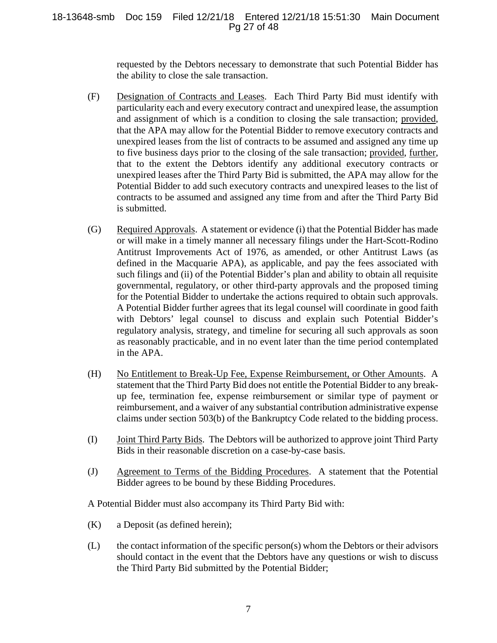### 18-13648-smb Doc 159 Filed 12/21/18 Entered 12/21/18 15:51:30 Main Document Pg 27 of 48

requested by the Debtors necessary to demonstrate that such Potential Bidder has the ability to close the sale transaction.

- (F) Designation of Contracts and Leases. Each Third Party Bid must identify with particularity each and every executory contract and unexpired lease, the assumption and assignment of which is a condition to closing the sale transaction; provided, that the APA may allow for the Potential Bidder to remove executory contracts and unexpired leases from the list of contracts to be assumed and assigned any time up to five business days prior to the closing of the sale transaction; provided, further, that to the extent the Debtors identify any additional executory contracts or unexpired leases after the Third Party Bid is submitted, the APA may allow for the Potential Bidder to add such executory contracts and unexpired leases to the list of contracts to be assumed and assigned any time from and after the Third Party Bid is submitted.
- (G) Required Approvals. A statement or evidence (i) that the Potential Bidder has made or will make in a timely manner all necessary filings under the Hart-Scott-Rodino Antitrust Improvements Act of 1976, as amended, or other Antitrust Laws (as defined in the Macquarie APA), as applicable, and pay the fees associated with such filings and (ii) of the Potential Bidder's plan and ability to obtain all requisite governmental, regulatory, or other third-party approvals and the proposed timing for the Potential Bidder to undertake the actions required to obtain such approvals. A Potential Bidder further agrees that its legal counsel will coordinate in good faith with Debtors' legal counsel to discuss and explain such Potential Bidder's regulatory analysis, strategy, and timeline for securing all such approvals as soon as reasonably practicable, and in no event later than the time period contemplated in the APA.
- (H) No Entitlement to Break-Up Fee, Expense Reimbursement, or Other Amounts. A statement that the Third Party Bid does not entitle the Potential Bidder to any breakup fee, termination fee, expense reimbursement or similar type of payment or reimbursement, and a waiver of any substantial contribution administrative expense claims under section 503(b) of the Bankruptcy Code related to the bidding process.
- (I) Joint Third Party Bids. The Debtors will be authorized to approve joint Third Party Bids in their reasonable discretion on a case-by-case basis.
- (J) Agreement to Terms of the Bidding Procedures. A statement that the Potential Bidder agrees to be bound by these Bidding Procedures.

A Potential Bidder must also accompany its Third Party Bid with:

- (K) a Deposit (as defined herein);
- $(L)$  the contact information of the specific person(s) whom the Debtors or their advisors should contact in the event that the Debtors have any questions or wish to discuss the Third Party Bid submitted by the Potential Bidder;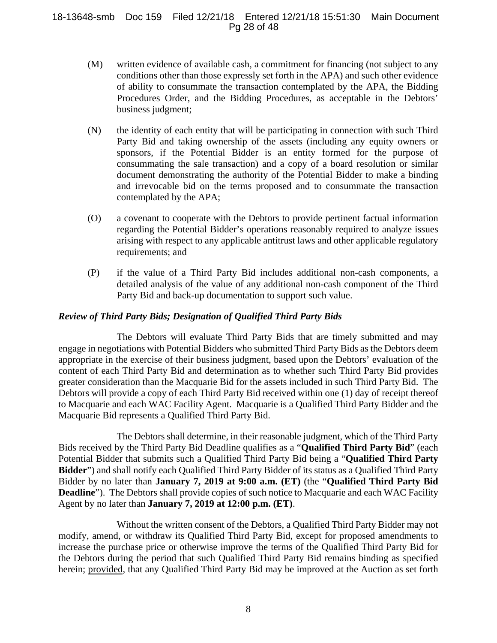#### 18-13648-smb Doc 159 Filed 12/21/18 Entered 12/21/18 15:51:30 Main Document Pg 28 of 48

- (M) written evidence of available cash, a commitment for financing (not subject to any conditions other than those expressly set forth in the APA) and such other evidence of ability to consummate the transaction contemplated by the APA, the Bidding Procedures Order, and the Bidding Procedures, as acceptable in the Debtors' business judgment;
- (N) the identity of each entity that will be participating in connection with such Third Party Bid and taking ownership of the assets (including any equity owners or sponsors, if the Potential Bidder is an entity formed for the purpose of consummating the sale transaction) and a copy of a board resolution or similar document demonstrating the authority of the Potential Bidder to make a binding and irrevocable bid on the terms proposed and to consummate the transaction contemplated by the APA;
- (O) a covenant to cooperate with the Debtors to provide pertinent factual information regarding the Potential Bidder's operations reasonably required to analyze issues arising with respect to any applicable antitrust laws and other applicable regulatory requirements; and
- (P) if the value of a Third Party Bid includes additional non-cash components, a detailed analysis of the value of any additional non-cash component of the Third Party Bid and back-up documentation to support such value.

## *Review of Third Party Bids; Designation of Qualified Third Party Bids*

The Debtors will evaluate Third Party Bids that are timely submitted and may engage in negotiations with Potential Bidders who submitted Third Party Bids as the Debtors deem appropriate in the exercise of their business judgment, based upon the Debtors' evaluation of the content of each Third Party Bid and determination as to whether such Third Party Bid provides greater consideration than the Macquarie Bid for the assets included in such Third Party Bid. The Debtors will provide a copy of each Third Party Bid received within one (1) day of receipt thereof to Macquarie and each WAC Facility Agent. Macquarie is a Qualified Third Party Bidder and the Macquarie Bid represents a Qualified Third Party Bid.

The Debtors shall determine, in their reasonable judgment, which of the Third Party Bids received by the Third Party Bid Deadline qualifies as a "**Qualified Third Party Bid**" (each Potential Bidder that submits such a Qualified Third Party Bid being a "**Qualified Third Party Bidder**") and shall notify each Qualified Third Party Bidder of its status as a Qualified Third Party Bidder by no later than **January 7, 2019 at 9:00 a.m. (ET)** (the "**Qualified Third Party Bid Deadline**"). The Debtors shall provide copies of such notice to Macquarie and each WAC Facility Agent by no later than **January 7, 2019 at 12:00 p.m. (ET)**.

Without the written consent of the Debtors, a Qualified Third Party Bidder may not modify, amend, or withdraw its Qualified Third Party Bid, except for proposed amendments to increase the purchase price or otherwise improve the terms of the Qualified Third Party Bid for the Debtors during the period that such Qualified Third Party Bid remains binding as specified herein; provided, that any Qualified Third Party Bid may be improved at the Auction as set forth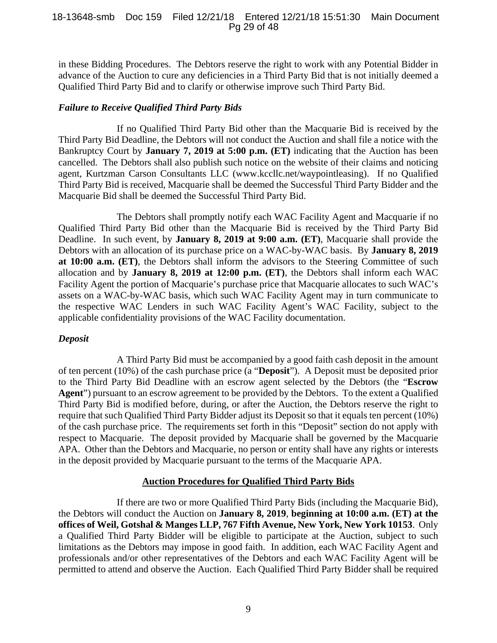#### 18-13648-smb Doc 159 Filed 12/21/18 Entered 12/21/18 15:51:30 Main Document Pg 29 of 48

in these Bidding Procedures. The Debtors reserve the right to work with any Potential Bidder in advance of the Auction to cure any deficiencies in a Third Party Bid that is not initially deemed a Qualified Third Party Bid and to clarify or otherwise improve such Third Party Bid.

## *Failure to Receive Qualified Third Party Bids*

 If no Qualified Third Party Bid other than the Macquarie Bid is received by the Third Party Bid Deadline, the Debtors will not conduct the Auction and shall file a notice with the Bankruptcy Court by **January 7, 2019 at 5:00 p.m. (ET)** indicating that the Auction has been cancelled. The Debtors shall also publish such notice on the website of their claims and noticing agent, Kurtzman Carson Consultants LLC (www.kccllc.net/waypointleasing). If no Qualified Third Party Bid is received, Macquarie shall be deemed the Successful Third Party Bidder and the Macquarie Bid shall be deemed the Successful Third Party Bid.

The Debtors shall promptly notify each WAC Facility Agent and Macquarie if no Qualified Third Party Bid other than the Macquarie Bid is received by the Third Party Bid Deadline. In such event, by **January 8, 2019 at 9:00 a.m. (ET)**, Macquarie shall provide the Debtors with an allocation of its purchase price on a WAC-by-WAC basis. By **January 8, 2019 at 10:00 a.m. (ET)**, the Debtors shall inform the advisors to the Steering Committee of such allocation and by **January 8, 2019 at 12:00 p.m. (ET)**, the Debtors shall inform each WAC Facility Agent the portion of Macquarie's purchase price that Macquarie allocates to such WAC's assets on a WAC-by-WAC basis, which such WAC Facility Agent may in turn communicate to the respective WAC Lenders in such WAC Facility Agent's WAC Facility, subject to the applicable confidentiality provisions of the WAC Facility documentation.

## *Deposit*

A Third Party Bid must be accompanied by a good faith cash deposit in the amount of ten percent (10%) of the cash purchase price (a "**Deposit**"). A Deposit must be deposited prior to the Third Party Bid Deadline with an escrow agent selected by the Debtors (the "**Escrow Agent**") pursuant to an escrow agreement to be provided by the Debtors. To the extent a Qualified Third Party Bid is modified before, during, or after the Auction, the Debtors reserve the right to require that such Qualified Third Party Bidder adjust its Deposit so that it equals ten percent (10%) of the cash purchase price. The requirements set forth in this "Deposit" section do not apply with respect to Macquarie. The deposit provided by Macquarie shall be governed by the Macquarie APA. Other than the Debtors and Macquarie, no person or entity shall have any rights or interests in the deposit provided by Macquarie pursuant to the terms of the Macquarie APA.

## **Auction Procedures for Qualified Third Party Bids**

If there are two or more Qualified Third Party Bids (including the Macquarie Bid), the Debtors will conduct the Auction on **January 8, 2019**, **beginning at 10:00 a.m. (ET) at the offices of Weil, Gotshal & Manges LLP, 767 Fifth Avenue, New York, New York 10153**. Only a Qualified Third Party Bidder will be eligible to participate at the Auction, subject to such limitations as the Debtors may impose in good faith. In addition, each WAC Facility Agent and professionals and/or other representatives of the Debtors and each WAC Facility Agent will be permitted to attend and observe the Auction. Each Qualified Third Party Bidder shall be required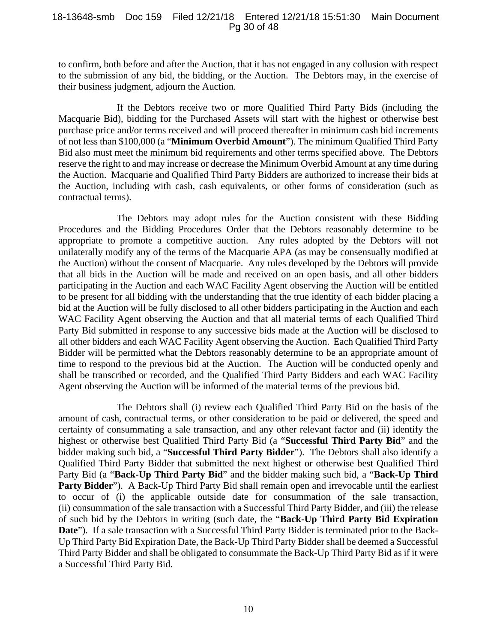#### 18-13648-smb Doc 159 Filed 12/21/18 Entered 12/21/18 15:51:30 Main Document Pg 30 of 48

to confirm, both before and after the Auction, that it has not engaged in any collusion with respect to the submission of any bid, the bidding, or the Auction. The Debtors may, in the exercise of their business judgment, adjourn the Auction.

If the Debtors receive two or more Qualified Third Party Bids (including the Macquarie Bid), bidding for the Purchased Assets will start with the highest or otherwise best purchase price and/or terms received and will proceed thereafter in minimum cash bid increments of not less than \$100,000 (a "**Minimum Overbid Amount**"). The minimum Qualified Third Party Bid also must meet the minimum bid requirements and other terms specified above. The Debtors reserve the right to and may increase or decrease the Minimum Overbid Amount at any time during the Auction. Macquarie and Qualified Third Party Bidders are authorized to increase their bids at the Auction, including with cash, cash equivalents, or other forms of consideration (such as contractual terms).

The Debtors may adopt rules for the Auction consistent with these Bidding Procedures and the Bidding Procedures Order that the Debtors reasonably determine to be appropriate to promote a competitive auction. Any rules adopted by the Debtors will not unilaterally modify any of the terms of the Macquarie APA (as may be consensually modified at the Auction) without the consent of Macquarie. Any rules developed by the Debtors will provide that all bids in the Auction will be made and received on an open basis, and all other bidders participating in the Auction and each WAC Facility Agent observing the Auction will be entitled to be present for all bidding with the understanding that the true identity of each bidder placing a bid at the Auction will be fully disclosed to all other bidders participating in the Auction and each WAC Facility Agent observing the Auction and that all material terms of each Qualified Third Party Bid submitted in response to any successive bids made at the Auction will be disclosed to all other bidders and each WAC Facility Agent observing the Auction. Each Qualified Third Party Bidder will be permitted what the Debtors reasonably determine to be an appropriate amount of time to respond to the previous bid at the Auction. The Auction will be conducted openly and shall be transcribed or recorded, and the Qualified Third Party Bidders and each WAC Facility Agent observing the Auction will be informed of the material terms of the previous bid.

The Debtors shall (i) review each Qualified Third Party Bid on the basis of the amount of cash, contractual terms, or other consideration to be paid or delivered, the speed and certainty of consummating a sale transaction, and any other relevant factor and (ii) identify the highest or otherwise best Qualified Third Party Bid (a "**Successful Third Party Bid**" and the bidder making such bid, a "**Successful Third Party Bidder**"). The Debtors shall also identify a Qualified Third Party Bidder that submitted the next highest or otherwise best Qualified Third Party Bid (a "**Back-Up Third Party Bid**" and the bidder making such bid, a "**Back-Up Third**  Party Bidder"). A Back-Up Third Party Bid shall remain open and irrevocable until the earliest to occur of (i) the applicable outside date for consummation of the sale transaction, (ii) consummation of the sale transaction with a Successful Third Party Bidder, and (iii) the release of such bid by the Debtors in writing (such date, the "**Back-Up Third Party Bid Expiration Date**"). If a sale transaction with a Successful Third Party Bidder is terminated prior to the Back-Up Third Party Bid Expiration Date, the Back-Up Third Party Bidder shall be deemed a Successful Third Party Bidder and shall be obligated to consummate the Back-Up Third Party Bid as if it were a Successful Third Party Bid.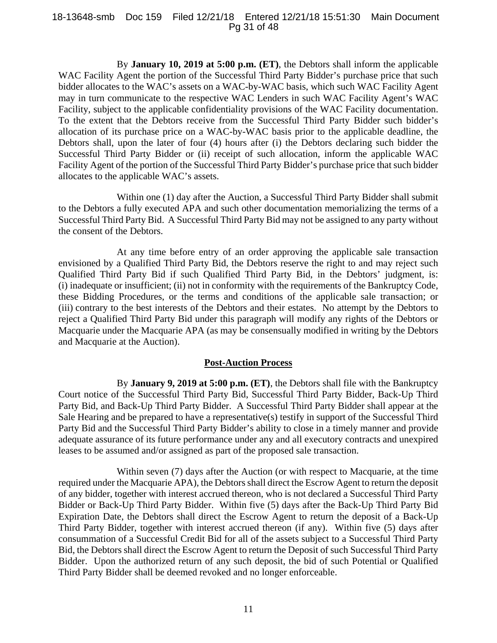#### 18-13648-smb Doc 159 Filed 12/21/18 Entered 12/21/18 15:51:30 Main Document Pg 31 of 48

By **January 10, 2019 at 5:00 p.m. (ET)**, the Debtors shall inform the applicable WAC Facility Agent the portion of the Successful Third Party Bidder's purchase price that such bidder allocates to the WAC's assets on a WAC-by-WAC basis, which such WAC Facility Agent may in turn communicate to the respective WAC Lenders in such WAC Facility Agent's WAC Facility, subject to the applicable confidentiality provisions of the WAC Facility documentation. To the extent that the Debtors receive from the Successful Third Party Bidder such bidder's allocation of its purchase price on a WAC-by-WAC basis prior to the applicable deadline, the Debtors shall, upon the later of four (4) hours after (i) the Debtors declaring such bidder the Successful Third Party Bidder or (ii) receipt of such allocation, inform the applicable WAC Facility Agent of the portion of the Successful Third Party Bidder's purchase price that such bidder allocates to the applicable WAC's assets.

Within one (1) day after the Auction, a Successful Third Party Bidder shall submit to the Debtors a fully executed APA and such other documentation memorializing the terms of a Successful Third Party Bid. A Successful Third Party Bid may not be assigned to any party without the consent of the Debtors.

At any time before entry of an order approving the applicable sale transaction envisioned by a Qualified Third Party Bid, the Debtors reserve the right to and may reject such Qualified Third Party Bid if such Qualified Third Party Bid, in the Debtors' judgment, is: (i) inadequate or insufficient; (ii) not in conformity with the requirements of the Bankruptcy Code, these Bidding Procedures, or the terms and conditions of the applicable sale transaction; or (iii) contrary to the best interests of the Debtors and their estates. No attempt by the Debtors to reject a Qualified Third Party Bid under this paragraph will modify any rights of the Debtors or Macquarie under the Macquarie APA (as may be consensually modified in writing by the Debtors and Macquarie at the Auction).

#### **Post-Auction Process**

By **January 9, 2019 at 5:00 p.m. (ET)**, the Debtors shall file with the Bankruptcy Court notice of the Successful Third Party Bid, Successful Third Party Bidder, Back-Up Third Party Bid, and Back-Up Third Party Bidder. A Successful Third Party Bidder shall appear at the Sale Hearing and be prepared to have a representative(s) testify in support of the Successful Third Party Bid and the Successful Third Party Bidder's ability to close in a timely manner and provide adequate assurance of its future performance under any and all executory contracts and unexpired leases to be assumed and/or assigned as part of the proposed sale transaction.

Within seven (7) days after the Auction (or with respect to Macquarie, at the time required under the Macquarie APA), the Debtors shall direct the Escrow Agent to return the deposit of any bidder, together with interest accrued thereon, who is not declared a Successful Third Party Bidder or Back-Up Third Party Bidder. Within five (5) days after the Back-Up Third Party Bid Expiration Date, the Debtors shall direct the Escrow Agent to return the deposit of a Back-Up Third Party Bidder, together with interest accrued thereon (if any). Within five (5) days after consummation of a Successful Credit Bid for all of the assets subject to a Successful Third Party Bid, the Debtors shall direct the Escrow Agent to return the Deposit of such Successful Third Party Bidder. Upon the authorized return of any such deposit, the bid of such Potential or Qualified Third Party Bidder shall be deemed revoked and no longer enforceable.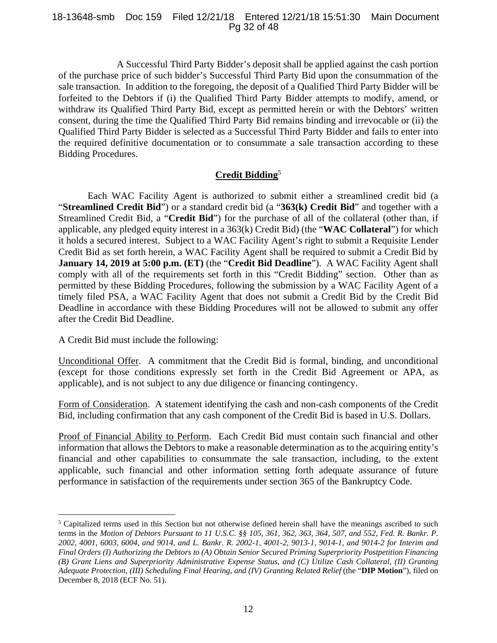#### 18-13648-smb Doc 159 Filed 12/21/18 Entered 12/21/18 15:51:30 Main Document Pg 32 of 48

A Successful Third Party Bidder's deposit shall be applied against the cash portion of the purchase price of such bidder's Successful Third Party Bid upon the consummation of the sale transaction. In addition to the foregoing, the deposit of a Qualified Third Party Bidder will be forfeited to the Debtors if (i) the Qualified Third Party Bidder attempts to modify, amend, or withdraw its Qualified Third Party Bid, except as permitted herein or with the Debtors' written consent, during the time the Qualified Third Party Bid remains binding and irrevocable or (ii) the Qualified Third Party Bidder is selected as a Successful Third Party Bidder and fails to enter into the required definitive documentation or to consummate a sale transaction according to these Bidding Procedures.

## **Credit Bidding**<sup>5</sup>

 Each WAC Facility Agent is authorized to submit either a streamlined credit bid (a "**Streamlined Credit Bid**") or a standard credit bid (a "**363(k) Credit Bid**" and together with a Streamlined Credit Bid, a "**Credit Bid**") for the purchase of all of the collateral (other than, if applicable, any pledged equity interest in a 363(k) Credit Bid) (the "**WAC Collateral**") for which it holds a secured interest. Subject to a WAC Facility Agent's right to submit a Requisite Lender Credit Bid as set forth herein, a WAC Facility Agent shall be required to submit a Credit Bid by **January 14, 2019 at 5:00 p.m. (ET)** (the "**Credit Bid Deadline**"). A WAC Facility Agent shall comply with all of the requirements set forth in this "Credit Bidding" section. Other than as permitted by these Bidding Procedures, following the submission by a WAC Facility Agent of a timely filed PSA, a WAC Facility Agent that does not submit a Credit Bid by the Credit Bid Deadline in accordance with these Bidding Procedures will not be allowed to submit any offer after the Credit Bid Deadline.

A Credit Bid must include the following:

 $\overline{a}$ 

Unconditional Offer. A commitment that the Credit Bid is formal, binding, and unconditional (except for those conditions expressly set forth in the Credit Bid Agreement or APA, as applicable), and is not subject to any due diligence or financing contingency.

Form of Consideration. A statement identifying the cash and non-cash components of the Credit Bid, including confirmation that any cash component of the Credit Bid is based in U.S. Dollars.

Proof of Financial Ability to Perform. Each Credit Bid must contain such financial and other information that allows the Debtors to make a reasonable determination as to the acquiring entity's financial and other capabilities to consummate the sale transaction, including, to the extent applicable, such financial and other information setting forth adequate assurance of future performance in satisfaction of the requirements under section 365 of the Bankruptcy Code.

<sup>&</sup>lt;sup>5</sup> Capitalized terms used in this Section but not otherwise defined herein shall have the meanings ascribed to such terms in the *Motion of Debtors Pursuant to 11 U.S.C. §§ 105, 361, 362, 363, 364, 507, and 552, Fed. R. Bankr. P. 2002, 4001, 6003, 6004, and 9014, and L. Bankr. R. 2002-1, 4001-2, 9013-1, 9014-1, and 9014-2 for Interim and Final Orders (I) Authorizing the Debtors to (A) Obtain Senior Secured Priming Superpriority Postpetition Financing (B) Grant Liens and Superpriority Administrative Expense Status, and (C) Utilize Cash Collateral, (II) Granting Adequate Protection, (III) Scheduling Final Hearing, and (IV) Granting Related Relief* (the "**DIP Motion**"), filed on December 8, 2018 (ECF No. 51).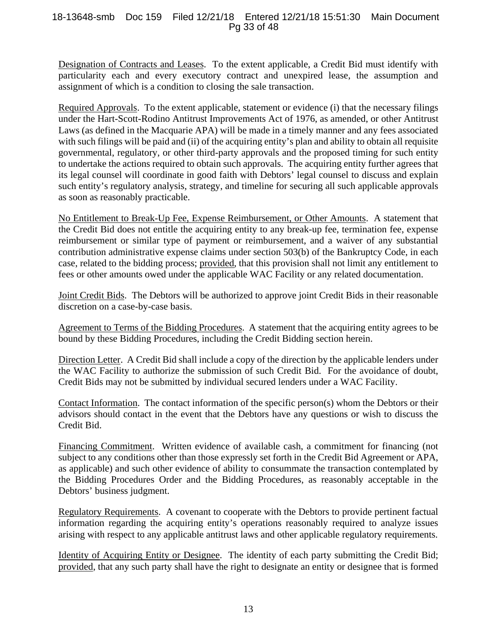### 18-13648-smb Doc 159 Filed 12/21/18 Entered 12/21/18 15:51:30 Main Document Pg 33 of 48

Designation of Contracts and Leases. To the extent applicable, a Credit Bid must identify with particularity each and every executory contract and unexpired lease, the assumption and assignment of which is a condition to closing the sale transaction.

Required Approvals. To the extent applicable, statement or evidence (i) that the necessary filings under the Hart-Scott-Rodino Antitrust Improvements Act of 1976, as amended, or other Antitrust Laws (as defined in the Macquarie APA) will be made in a timely manner and any fees associated with such filings will be paid and (ii) of the acquiring entity's plan and ability to obtain all requisite governmental, regulatory, or other third-party approvals and the proposed timing for such entity to undertake the actions required to obtain such approvals. The acquiring entity further agrees that its legal counsel will coordinate in good faith with Debtors' legal counsel to discuss and explain such entity's regulatory analysis, strategy, and timeline for securing all such applicable approvals as soon as reasonably practicable.

No Entitlement to Break-Up Fee, Expense Reimbursement, or Other Amounts. A statement that the Credit Bid does not entitle the acquiring entity to any break-up fee, termination fee, expense reimbursement or similar type of payment or reimbursement, and a waiver of any substantial contribution administrative expense claims under section 503(b) of the Bankruptcy Code, in each case, related to the bidding process; provided, that this provision shall not limit any entitlement to fees or other amounts owed under the applicable WAC Facility or any related documentation.

Joint Credit Bids. The Debtors will be authorized to approve joint Credit Bids in their reasonable discretion on a case-by-case basis.

Agreement to Terms of the Bidding Procedures. A statement that the acquiring entity agrees to be bound by these Bidding Procedures, including the Credit Bidding section herein.

Direction Letter. A Credit Bid shall include a copy of the direction by the applicable lenders under the WAC Facility to authorize the submission of such Credit Bid. For the avoidance of doubt, Credit Bids may not be submitted by individual secured lenders under a WAC Facility.

Contact Information. The contact information of the specific person(s) whom the Debtors or their advisors should contact in the event that the Debtors have any questions or wish to discuss the Credit Bid.

Financing Commitment. Written evidence of available cash, a commitment for financing (not subject to any conditions other than those expressly set forth in the Credit Bid Agreement or APA, as applicable) and such other evidence of ability to consummate the transaction contemplated by the Bidding Procedures Order and the Bidding Procedures, as reasonably acceptable in the Debtors' business judgment.

Regulatory Requirements. A covenant to cooperate with the Debtors to provide pertinent factual information regarding the acquiring entity's operations reasonably required to analyze issues arising with respect to any applicable antitrust laws and other applicable regulatory requirements.

Identity of Acquiring Entity or Designee. The identity of each party submitting the Credit Bid; provided, that any such party shall have the right to designate an entity or designee that is formed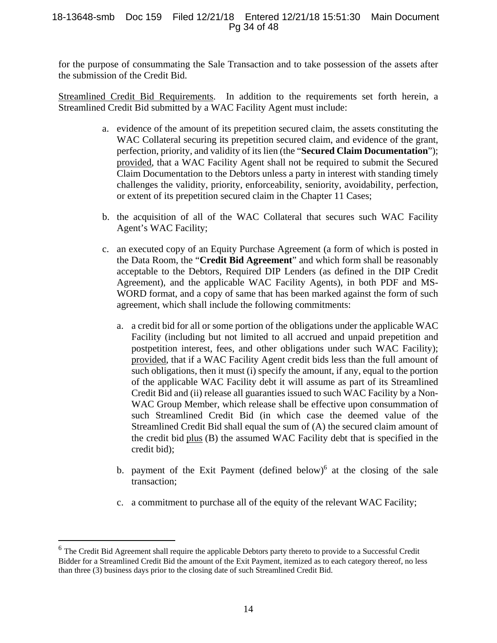#### 18-13648-smb Doc 159 Filed 12/21/18 Entered 12/21/18 15:51:30 Main Document Pg 34 of 48

for the purpose of consummating the Sale Transaction and to take possession of the assets after the submission of the Credit Bid.

Streamlined Credit Bid Requirements. In addition to the requirements set forth herein, a Streamlined Credit Bid submitted by a WAC Facility Agent must include:

- a. evidence of the amount of its prepetition secured claim, the assets constituting the WAC Collateral securing its prepetition secured claim, and evidence of the grant, perfection, priority, and validity of its lien (the "**Secured Claim Documentation**"); provided, that a WAC Facility Agent shall not be required to submit the Secured Claim Documentation to the Debtors unless a party in interest with standing timely challenges the validity, priority, enforceability, seniority, avoidability, perfection, or extent of its prepetition secured claim in the Chapter 11 Cases;
- b. the acquisition of all of the WAC Collateral that secures such WAC Facility Agent's WAC Facility;
- c. an executed copy of an Equity Purchase Agreement (a form of which is posted in the Data Room, the "**Credit Bid Agreement**" and which form shall be reasonably acceptable to the Debtors, Required DIP Lenders (as defined in the DIP Credit Agreement), and the applicable WAC Facility Agents), in both PDF and MS-WORD format, and a copy of same that has been marked against the form of such agreement, which shall include the following commitments:
	- a. a credit bid for all or some portion of the obligations under the applicable WAC Facility (including but not limited to all accrued and unpaid prepetition and postpetition interest, fees, and other obligations under such WAC Facility); provided, that if a WAC Facility Agent credit bids less than the full amount of such obligations, then it must (i) specify the amount, if any, equal to the portion of the applicable WAC Facility debt it will assume as part of its Streamlined Credit Bid and (ii) release all guaranties issued to such WAC Facility by a Non-WAC Group Member, which release shall be effective upon consummation of such Streamlined Credit Bid (in which case the deemed value of the Streamlined Credit Bid shall equal the sum of (A) the secured claim amount of the credit bid plus (B) the assumed WAC Facility debt that is specified in the credit bid);
	- b. payment of the Exit Payment (defined below)<sup>6</sup> at the closing of the sale transaction;
	- c. a commitment to purchase all of the equity of the relevant WAC Facility;

 $\overline{a}$ 

<sup>&</sup>lt;sup>6</sup> The Credit Bid Agreement shall require the applicable Debtors party thereto to provide to a Successful Credit Bidder for a Streamlined Credit Bid the amount of the Exit Payment, itemized as to each category thereof, no less than three (3) business days prior to the closing date of such Streamlined Credit Bid.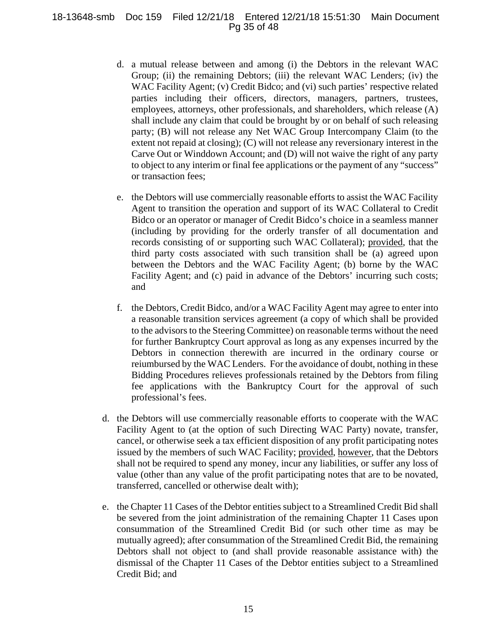### 18-13648-smb Doc 159 Filed 12/21/18 Entered 12/21/18 15:51:30 Main Document Pg 35 of 48

- d. a mutual release between and among (i) the Debtors in the relevant WAC Group; (ii) the remaining Debtors; (iii) the relevant WAC Lenders; (iv) the WAC Facility Agent; (v) Credit Bidco; and (vi) such parties' respective related parties including their officers, directors, managers, partners, trustees, employees, attorneys, other professionals, and shareholders, which release (A) shall include any claim that could be brought by or on behalf of such releasing party; (B) will not release any Net WAC Group Intercompany Claim (to the extent not repaid at closing); (C) will not release any reversionary interest in the Carve Out or Winddown Account; and (D) will not waive the right of any party to object to any interim or final fee applications or the payment of any "success" or transaction fees;
- e. the Debtors will use commercially reasonable efforts to assist the WAC Facility Agent to transition the operation and support of its WAC Collateral to Credit Bidco or an operator or manager of Credit Bidco's choice in a seamless manner (including by providing for the orderly transfer of all documentation and records consisting of or supporting such WAC Collateral); provided, that the third party costs associated with such transition shall be (a) agreed upon between the Debtors and the WAC Facility Agent; (b) borne by the WAC Facility Agent; and (c) paid in advance of the Debtors' incurring such costs; and
- f. the Debtors, Credit Bidco, and/or a WAC Facility Agent may agree to enter into a reasonable transition services agreement (a copy of which shall be provided to the advisors to the Steering Committee) on reasonable terms without the need for further Bankruptcy Court approval as long as any expenses incurred by the Debtors in connection therewith are incurred in the ordinary course or reiumbursed by the WAC Lenders. For the avoidance of doubt, nothing in these Bidding Procedures relieves professionals retained by the Debtors from filing fee applications with the Bankruptcy Court for the approval of such professional's fees.
- d. the Debtors will use commercially reasonable efforts to cooperate with the WAC Facility Agent to (at the option of such Directing WAC Party) novate, transfer, cancel, or otherwise seek a tax efficient disposition of any profit participating notes issued by the members of such WAC Facility; provided, however, that the Debtors shall not be required to spend any money, incur any liabilities, or suffer any loss of value (other than any value of the profit participating notes that are to be novated, transferred, cancelled or otherwise dealt with);
- e. the Chapter 11 Cases of the Debtor entities subject to a Streamlined Credit Bid shall be severed from the joint administration of the remaining Chapter 11 Cases upon consummation of the Streamlined Credit Bid (or such other time as may be mutually agreed); after consummation of the Streamlined Credit Bid, the remaining Debtors shall not object to (and shall provide reasonable assistance with) the dismissal of the Chapter 11 Cases of the Debtor entities subject to a Streamlined Credit Bid; and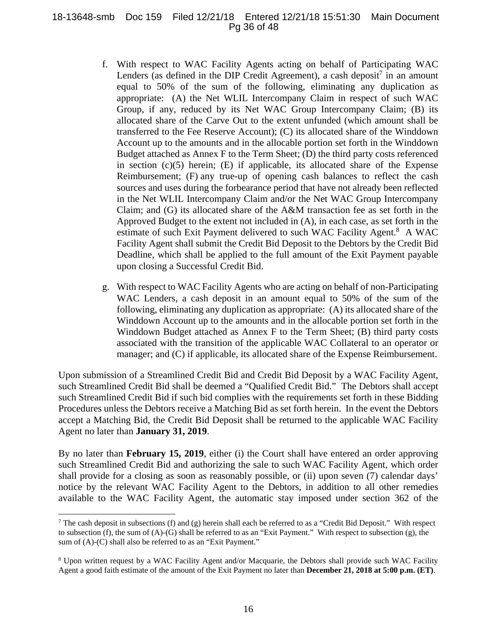#### 18-13648-smb Doc 159 Filed 12/21/18 Entered 12/21/18 15:51:30 Main Document Pg 36 of 48

- f. With respect to WAC Facility Agents acting on behalf of Participating WAC Lenders (as defined in the DIP Credit Agreement), a cash deposit<sup>7</sup> in an amount equal to 50% of the sum of the following, eliminating any duplication as appropriate: (A) the Net WLIL Intercompany Claim in respect of such WAC Group, if any, reduced by its Net WAC Group Intercompany Claim; (B) its allocated share of the Carve Out to the extent unfunded (which amount shall be transferred to the Fee Reserve Account); (C) its allocated share of the Winddown Account up to the amounts and in the allocable portion set forth in the Winddown Budget attached as Annex F to the Term Sheet; (D) the third party costs referenced in section (c)(5) herein; (E) if applicable, its allocated share of the Expense Reimbursement; (F) any true-up of opening cash balances to reflect the cash sources and uses during the forbearance period that have not already been reflected in the Net WLIL Intercompany Claim and/or the Net WAC Group Intercompany Claim; and (G) its allocated share of the A&M transaction fee as set forth in the Approved Budget to the extent not included in (A), in each case, as set forth in the estimate of such Exit Payment delivered to such WAC Facility Agent.<sup>8</sup> A WAC Facility Agent shall submit the Credit Bid Deposit to the Debtors by the Credit Bid Deadline, which shall be applied to the full amount of the Exit Payment payable upon closing a Successful Credit Bid.
- g. With respect to WAC Facility Agents who are acting on behalf of non-Participating WAC Lenders, a cash deposit in an amount equal to 50% of the sum of the following, eliminating any duplication as appropriate: (A) its allocated share of the Winddown Account up to the amounts and in the allocable portion set forth in the Winddown Budget attached as Annex F to the Term Sheet; (B) third party costs associated with the transition of the applicable WAC Collateral to an operator or manager; and (C) if applicable, its allocated share of the Expense Reimbursement.

Upon submission of a Streamlined Credit Bid and Credit Bid Deposit by a WAC Facility Agent, such Streamlined Credit Bid shall be deemed a "Qualified Credit Bid." The Debtors shall accept such Streamlined Credit Bid if such bid complies with the requirements set forth in these Bidding Procedures unless the Debtors receive a Matching Bid as set forth herein. In the event the Debtors accept a Matching Bid, the Credit Bid Deposit shall be returned to the applicable WAC Facility Agent no later than **January 31, 2019**.

By no later than **February 15, 2019**, either (i) the Court shall have entered an order approving such Streamlined Credit Bid and authorizing the sale to such WAC Facility Agent, which order shall provide for a closing as soon as reasonably possible, or (ii) upon seven (7) calendar days' notice by the relevant WAC Facility Agent to the Debtors, in addition to all other remedies available to the WAC Facility Agent, the automatic stay imposed under section 362 of the

<u>.</u>

The cash deposit in subsections (f) and (g) herein shall each be referred to as a "Credit Bid Deposit." With respect to subsection (f), the sum of (A)-(G) shall be referred to as an "Exit Payment." With respect to subsection (g), the sum of (A)-(C) shall also be referred to as an "Exit Payment."

<sup>&</sup>lt;sup>8</sup> Upon written request by a WAC Facility Agent and/or Macquarie, the Debtors shall provide such WAC Facility Agent a good faith estimate of the amount of the Exit Payment no later than **December 21, 2018 at 5:00 p.m. (ET)**.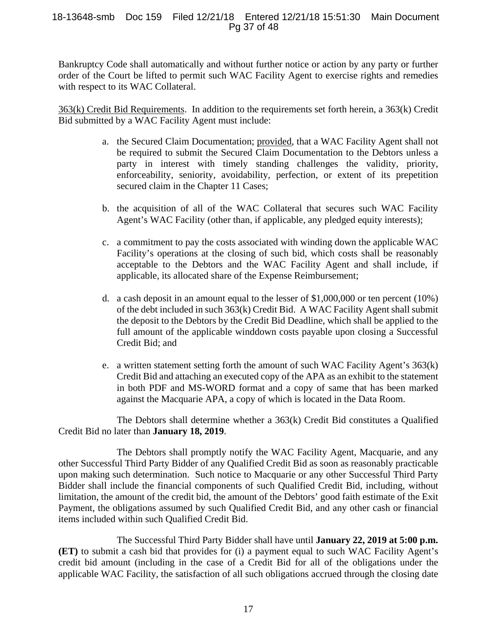#### 18-13648-smb Doc 159 Filed 12/21/18 Entered 12/21/18 15:51:30 Main Document Pg 37 of 48

Bankruptcy Code shall automatically and without further notice or action by any party or further order of the Court be lifted to permit such WAC Facility Agent to exercise rights and remedies with respect to its WAC Collateral.

363(k) Credit Bid Requirements. In addition to the requirements set forth herein, a 363(k) Credit Bid submitted by a WAC Facility Agent must include:

- a. the Secured Claim Documentation; provided, that a WAC Facility Agent shall not be required to submit the Secured Claim Documentation to the Debtors unless a party in interest with timely standing challenges the validity, priority, enforceability, seniority, avoidability, perfection, or extent of its prepetition secured claim in the Chapter 11 Cases;
- b. the acquisition of all of the WAC Collateral that secures such WAC Facility Agent's WAC Facility (other than, if applicable, any pledged equity interests);
- c. a commitment to pay the costs associated with winding down the applicable WAC Facility's operations at the closing of such bid, which costs shall be reasonably acceptable to the Debtors and the WAC Facility Agent and shall include, if applicable, its allocated share of the Expense Reimbursement;
- d. a cash deposit in an amount equal to the lesser of \$1,000,000 or ten percent (10%) of the debt included in such 363(k) Credit Bid. A WAC Facility Agent shall submit the deposit to the Debtors by the Credit Bid Deadline, which shall be applied to the full amount of the applicable winddown costs payable upon closing a Successful Credit Bid; and
- e. a written statement setting forth the amount of such WAC Facility Agent's 363(k) Credit Bid and attaching an executed copy of the APA as an exhibit to the statement in both PDF and MS-WORD format and a copy of same that has been marked against the Macquarie APA, a copy of which is located in the Data Room.

The Debtors shall determine whether a 363(k) Credit Bid constitutes a Qualified Credit Bid no later than **January 18, 2019**.

The Debtors shall promptly notify the WAC Facility Agent, Macquarie, and any other Successful Third Party Bidder of any Qualified Credit Bid as soon as reasonably practicable upon making such determination. Such notice to Macquarie or any other Successful Third Party Bidder shall include the financial components of such Qualified Credit Bid, including, without limitation, the amount of the credit bid, the amount of the Debtors' good faith estimate of the Exit Payment, the obligations assumed by such Qualified Credit Bid, and any other cash or financial items included within such Qualified Credit Bid.

The Successful Third Party Bidder shall have until **January 22, 2019 at 5:00 p.m. (ET)** to submit a cash bid that provides for (i) a payment equal to such WAC Facility Agent's credit bid amount (including in the case of a Credit Bid for all of the obligations under the applicable WAC Facility, the satisfaction of all such obligations accrued through the closing date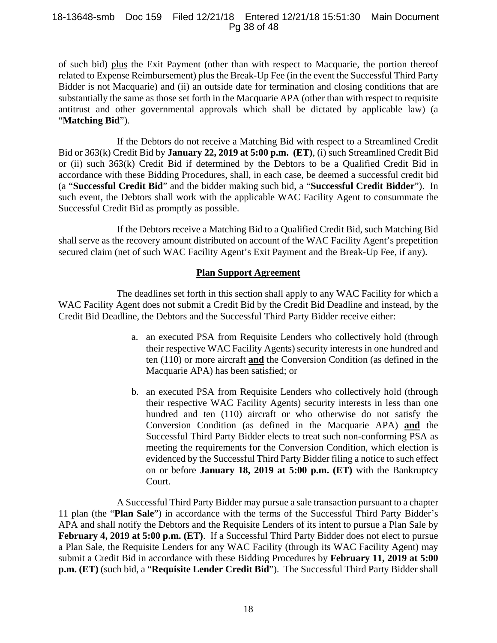#### 18-13648-smb Doc 159 Filed 12/21/18 Entered 12/21/18 15:51:30 Main Document Pg 38 of 48

of such bid) plus the Exit Payment (other than with respect to Macquarie, the portion thereof related to Expense Reimbursement) plus the Break-Up Fee (in the event the Successful Third Party Bidder is not Macquarie) and (ii) an outside date for termination and closing conditions that are substantially the same as those set forth in the Macquarie APA (other than with respect to requisite antitrust and other governmental approvals which shall be dictated by applicable law) (a "**Matching Bid**").

If the Debtors do not receive a Matching Bid with respect to a Streamlined Credit Bid or 363(k) Credit Bid by **January 22, 2019 at 5:00 p.m. (ET)**, (i) such Streamlined Credit Bid or (ii) such 363(k) Credit Bid if determined by the Debtors to be a Qualified Credit Bid in accordance with these Bidding Procedures, shall, in each case, be deemed a successful credit bid (a "**Successful Credit Bid**" and the bidder making such bid, a "**Successful Credit Bidder**"). In such event, the Debtors shall work with the applicable WAC Facility Agent to consummate the Successful Credit Bid as promptly as possible.

If the Debtors receive a Matching Bid to a Qualified Credit Bid, such Matching Bid shall serve as the recovery amount distributed on account of the WAC Facility Agent's prepetition secured claim (net of such WAC Facility Agent's Exit Payment and the Break-Up Fee, if any).

## **Plan Support Agreement**

The deadlines set forth in this section shall apply to any WAC Facility for which a WAC Facility Agent does not submit a Credit Bid by the Credit Bid Deadline and instead, by the Credit Bid Deadline, the Debtors and the Successful Third Party Bidder receive either:

- a. an executed PSA from Requisite Lenders who collectively hold (through their respective WAC Facility Agents) security interests in one hundred and ten (110) or more aircraft **and** the Conversion Condition (as defined in the Macquarie APA) has been satisfied; or
- b. an executed PSA from Requisite Lenders who collectively hold (through their respective WAC Facility Agents) security interests in less than one hundred and ten (110) aircraft or who otherwise do not satisfy the Conversion Condition (as defined in the Macquarie APA) **and** the Successful Third Party Bidder elects to treat such non-conforming PSA as meeting the requirements for the Conversion Condition, which election is evidenced by the Successful Third Party Bidder filing a notice to such effect on or before **January 18, 2019 at 5:00 p.m. (ET)** with the Bankruptcy Court.

 A Successful Third Party Bidder may pursue a sale transaction pursuant to a chapter 11 plan (the "**Plan Sale**") in accordance with the terms of the Successful Third Party Bidder's APA and shall notify the Debtors and the Requisite Lenders of its intent to pursue a Plan Sale by **February 4, 2019 at 5:00 p.m. (ET)**. If a Successful Third Party Bidder does not elect to pursue a Plan Sale, the Requisite Lenders for any WAC Facility (through its WAC Facility Agent) may submit a Credit Bid in accordance with these Bidding Procedures by **February 11, 2019 at 5:00 p.m. (ET)** (such bid, a "**Requisite Lender Credit Bid**").The Successful Third Party Bidder shall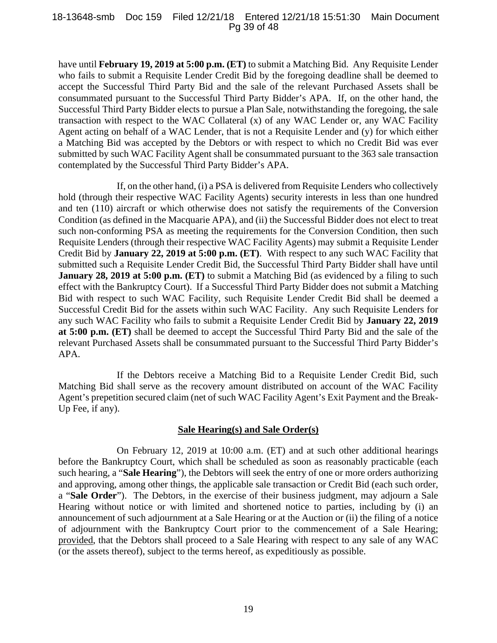#### 18-13648-smb Doc 159 Filed 12/21/18 Entered 12/21/18 15:51:30 Main Document Pg 39 of 48

have until **February 19, 2019 at 5:00 p.m. (ET)** to submit a Matching Bid.Any Requisite Lender who fails to submit a Requisite Lender Credit Bid by the foregoing deadline shall be deemed to accept the Successful Third Party Bid and the sale of the relevant Purchased Assets shall be consummated pursuant to the Successful Third Party Bidder's APA. If, on the other hand, the Successful Third Party Bidder elects to pursue a Plan Sale, notwithstanding the foregoing, the sale transaction with respect to the WAC Collateral (x) of any WAC Lender or, any WAC Facility Agent acting on behalf of a WAC Lender, that is not a Requisite Lender and (y) for which either a Matching Bid was accepted by the Debtors or with respect to which no Credit Bid was ever submitted by such WAC Facility Agent shall be consummated pursuant to the 363 sale transaction contemplated by the Successful Third Party Bidder's APA.

If, on the other hand, (i) a PSA is delivered from Requisite Lenders who collectively hold (through their respective WAC Facility Agents) security interests in less than one hundred and ten (110) aircraft or which otherwise does not satisfy the requirements of the Conversion Condition (as defined in the Macquarie APA), and (ii) the Successful Bidder does not elect to treat such non-conforming PSA as meeting the requirements for the Conversion Condition, then such Requisite Lenders (through their respective WAC Facility Agents) may submit a Requisite Lender Credit Bid by **January 22, 2019 at 5:00 p.m. (ET)**. With respect to any such WAC Facility that submitted such a Requisite Lender Credit Bid, the Successful Third Party Bidder shall have until **January 28, 2019 at 5:00 p.m. (ET)** to submit a Matching Bid (as evidenced by a filing to such effect with the Bankruptcy Court). If a Successful Third Party Bidder does not submit a Matching Bid with respect to such WAC Facility, such Requisite Lender Credit Bid shall be deemed a Successful Credit Bid for the assets within such WAC Facility. Any such Requisite Lenders for any such WAC Facility who fails to submit a Requisite Lender Credit Bid by **January 22, 2019 at 5:00 p.m. (ET)** shall be deemed to accept the Successful Third Party Bid and the sale of the relevant Purchased Assets shall be consummated pursuant to the Successful Third Party Bidder's APA.

If the Debtors receive a Matching Bid to a Requisite Lender Credit Bid, such Matching Bid shall serve as the recovery amount distributed on account of the WAC Facility Agent's prepetition secured claim (net of such WAC Facility Agent's Exit Payment and the Break-Up Fee, if any).

#### **Sale Hearing(s) and Sale Order(s)**

On February 12, 2019 at 10:00 a.m. (ET) and at such other additional hearings before the Bankruptcy Court, which shall be scheduled as soon as reasonably practicable (each such hearing, a "**Sale Hearing**"), the Debtors will seek the entry of one or more orders authorizing and approving, among other things, the applicable sale transaction or Credit Bid (each such order, a "**Sale Order**"). The Debtors, in the exercise of their business judgment, may adjourn a Sale Hearing without notice or with limited and shortened notice to parties, including by (i) an announcement of such adjournment at a Sale Hearing or at the Auction or (ii) the filing of a notice of adjournment with the Bankruptcy Court prior to the commencement of a Sale Hearing; provided, that the Debtors shall proceed to a Sale Hearing with respect to any sale of any WAC (or the assets thereof), subject to the terms hereof, as expeditiously as possible.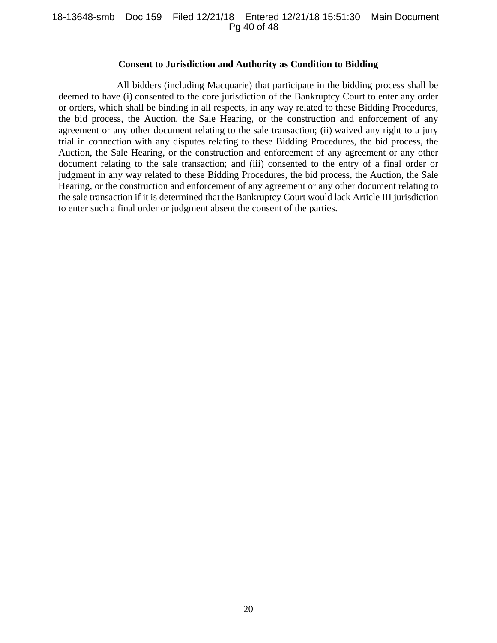#### 18-13648-smb Doc 159 Filed 12/21/18 Entered 12/21/18 15:51:30 Main Document Pg 40 of 48

#### **Consent to Jurisdiction and Authority as Condition to Bidding**

All bidders (including Macquarie) that participate in the bidding process shall be deemed to have (i) consented to the core jurisdiction of the Bankruptcy Court to enter any order or orders, which shall be binding in all respects, in any way related to these Bidding Procedures, the bid process, the Auction, the Sale Hearing, or the construction and enforcement of any agreement or any other document relating to the sale transaction; (ii) waived any right to a jury trial in connection with any disputes relating to these Bidding Procedures, the bid process, the Auction, the Sale Hearing, or the construction and enforcement of any agreement or any other document relating to the sale transaction; and (iii) consented to the entry of a final order or judgment in any way related to these Bidding Procedures, the bid process, the Auction, the Sale Hearing, or the construction and enforcement of any agreement or any other document relating to the sale transaction if it is determined that the Bankruptcy Court would lack Article III jurisdiction to enter such a final order or judgment absent the consent of the parties.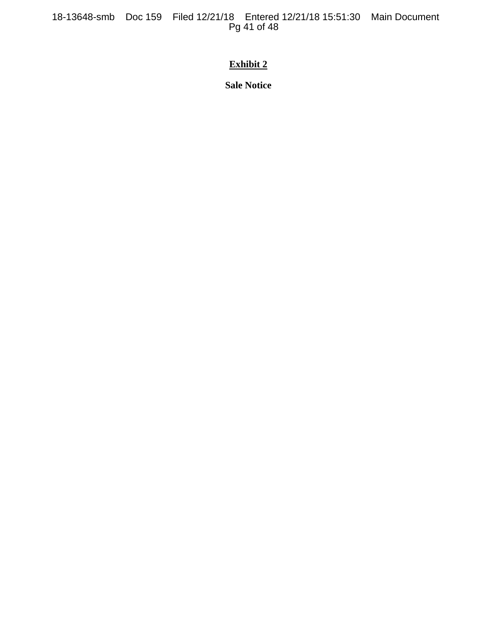18-13648-smb Doc 159 Filed 12/21/18 Entered 12/21/18 15:51:30 Main Document Pg 41 of 48

## **Exhibit 2**

**Sale Notice**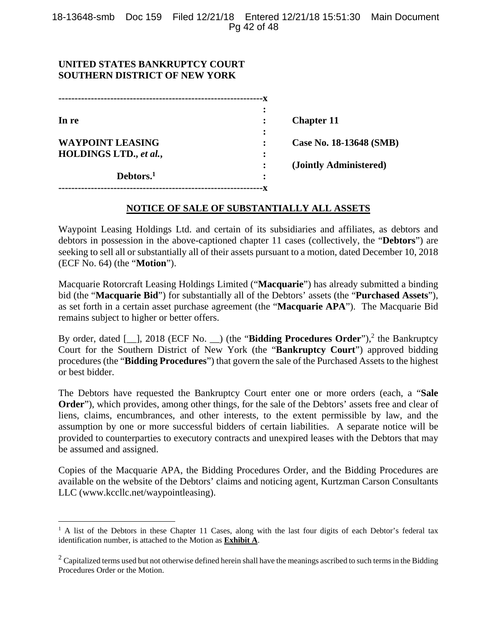## **UNITED STATES BANKRUPTCY COURT SOUTHERN DISTRICT OF NEW YORK**

1

| In re                   |   | <b>Chapter 11</b>       |
|-------------------------|---|-------------------------|
|                         |   |                         |
| <b>WAYPOINT LEASING</b> |   | Case No. 18-13648 (SMB) |
| HOLDINGS LTD., et al.,  | ٠ |                         |
|                         |   | (Jointly Administered)  |
| Debtors. <sup>1</sup>   | ٠ |                         |
|                         |   |                         |

## **NOTICE OF SALE OF SUBSTANTIALLY ALL ASSETS**

Waypoint Leasing Holdings Ltd. and certain of its subsidiaries and affiliates, as debtors and debtors in possession in the above-captioned chapter 11 cases (collectively, the "**Debtors**") are seeking to sell all or substantially all of their assets pursuant to a motion, dated December 10, 2018 (ECF No. 64) (the "**Motion**").

Macquarie Rotorcraft Leasing Holdings Limited ("**Macquarie**") has already submitted a binding bid (the "**Macquarie Bid**") for substantially all of the Debtors' assets (the "**Purchased Assets**"), as set forth in a certain asset purchase agreement (the "**Macquarie APA**"). The Macquarie Bid remains subject to higher or better offers.

By order, dated [1, 2018 (ECF No. 1) (the "**Bidding Procedures Order**"),<sup>2</sup> the Bankruptcy Court for the Southern District of New York (the "**Bankruptcy Court**") approved bidding procedures (the "**Bidding Procedures**") that govern the sale of the Purchased Assets to the highest or best bidder.

The Debtors have requested the Bankruptcy Court enter one or more orders (each, a "**Sale Order**"), which provides, among other things, for the sale of the Debtors' assets free and clear of liens, claims, encumbrances, and other interests, to the extent permissible by law, and the assumption by one or more successful bidders of certain liabilities. A separate notice will be provided to counterparties to executory contracts and unexpired leases with the Debtors that may be assumed and assigned.

Copies of the Macquarie APA, the Bidding Procedures Order, and the Bidding Procedures are available on the website of the Debtors' claims and noticing agent, Kurtzman Carson Consultants LLC (www.kccllc.net/waypointleasing).

<sup>&</sup>lt;sup>1</sup> A list of the Debtors in these Chapter 11 Cases, along with the last four digits of each Debtor's federal tax identification number, is attached to the Motion as **Exhibit A**.

 $2$  Capitalized terms used but not otherwise defined herein shall have the meanings ascribed to such terms in the Bidding Procedures Order or the Motion.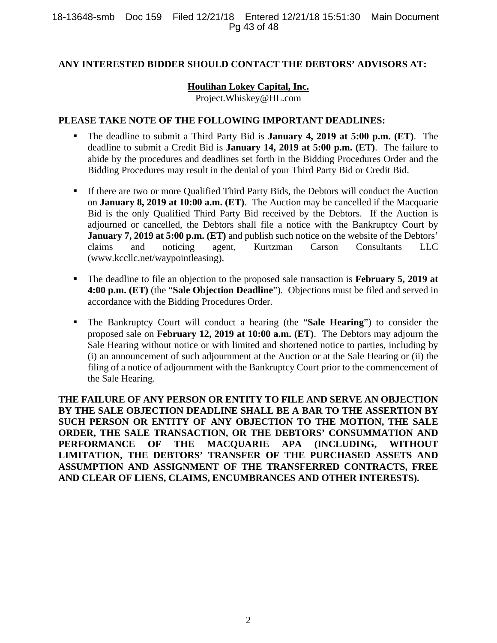## **ANY INTERESTED BIDDER SHOULD CONTACT THE DEBTORS' ADVISORS AT:**

## **Houlihan Lokey Capital, Inc.**

Project.Whiskey@HL.com

## **PLEASE TAKE NOTE OF THE FOLLOWING IMPORTANT DEADLINES:**

- The deadline to submit a Third Party Bid is **January 4, 2019 at 5:00 p.m. (ET)**. The deadline to submit a Credit Bid is **January 14, 2019 at 5:00 p.m. (ET)**. The failure to abide by the procedures and deadlines set forth in the Bidding Procedures Order and the Bidding Procedures may result in the denial of your Third Party Bid or Credit Bid.
- If there are two or more Qualified Third Party Bids, the Debtors will conduct the Auction on **January 8, 2019 at 10:00 a.m. (ET)**. The Auction may be cancelled if the Macquarie Bid is the only Qualified Third Party Bid received by the Debtors. If the Auction is adjourned or cancelled, the Debtors shall file a notice with the Bankruptcy Court by **January 7, 2019 at 5:00 p.m. (ET)** and publish such notice on the website of the Debtors' claims and noticing agent, Kurtzman Carson Consultants LLC (www.kccllc.net/waypointleasing).
- The deadline to file an objection to the proposed sale transaction is **February 5, 2019 at 4:00 p.m. (ET)** (the "**Sale Objection Deadline**"). Objections must be filed and served in accordance with the Bidding Procedures Order.
- The Bankruptcy Court will conduct a hearing (the "**Sale Hearing**") to consider the proposed sale on **February 12, 2019 at 10:00 a.m. (ET)**. The Debtors may adjourn the Sale Hearing without notice or with limited and shortened notice to parties, including by (i) an announcement of such adjournment at the Auction or at the Sale Hearing or (ii) the filing of a notice of adjournment with the Bankruptcy Court prior to the commencement of the Sale Hearing.

**THE FAILURE OF ANY PERSON OR ENTITY TO FILE AND SERVE AN OBJECTION BY THE SALE OBJECTION DEADLINE SHALL BE A BAR TO THE ASSERTION BY SUCH PERSON OR ENTITY OF ANY OBJECTION TO THE MOTION, THE SALE ORDER, THE SALE TRANSACTION, OR THE DEBTORS' CONSUMMATION AND PERFORMANCE OF THE MACQUARIE APA (INCLUDING, WITHOUT LIMITATION, THE DEBTORS' TRANSFER OF THE PURCHASED ASSETS AND ASSUMPTION AND ASSIGNMENT OF THE TRANSFERRED CONTRACTS, FREE AND CLEAR OF LIENS, CLAIMS, ENCUMBRANCES AND OTHER INTERESTS).**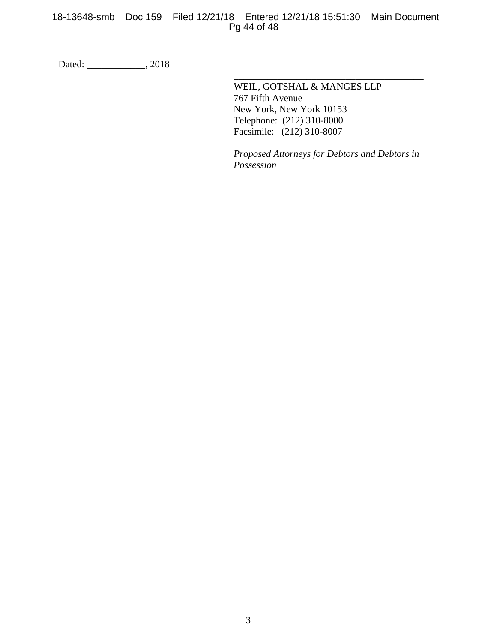## 18-13648-smb Doc 159 Filed 12/21/18 Entered 12/21/18 15:51:30 Main Document Pg 44 of 48

 $\overline{\phantom{a}}$  , which is a set of the set of the set of the set of the set of the set of the set of the set of the set of the set of the set of the set of the set of the set of the set of the set of the set of the set of th

Dated: \_\_\_\_\_\_\_\_\_\_\_\_\_\_, 2018

 WEIL, GOTSHAL & MANGES LLP 767 Fifth Avenue New York, New York 10153 Telephone: (212) 310-8000 Facsimile: (212) 310-8007

*Proposed Attorneys for Debtors and Debtors in Possession*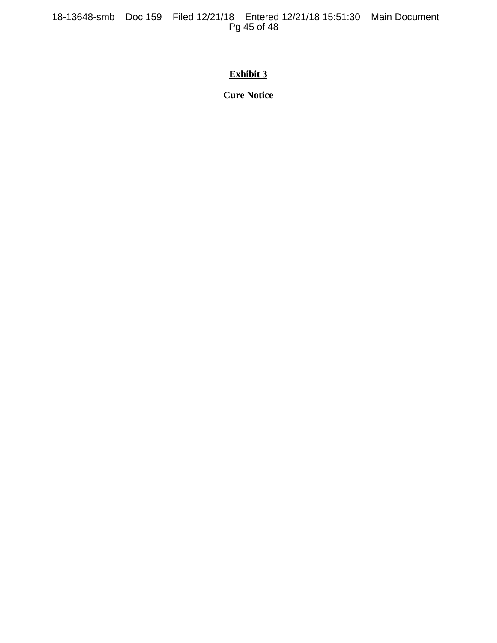18-13648-smb Doc 159 Filed 12/21/18 Entered 12/21/18 15:51:30 Main Document Pg 45 of 48

## **Exhibit 3**

**Cure Notice**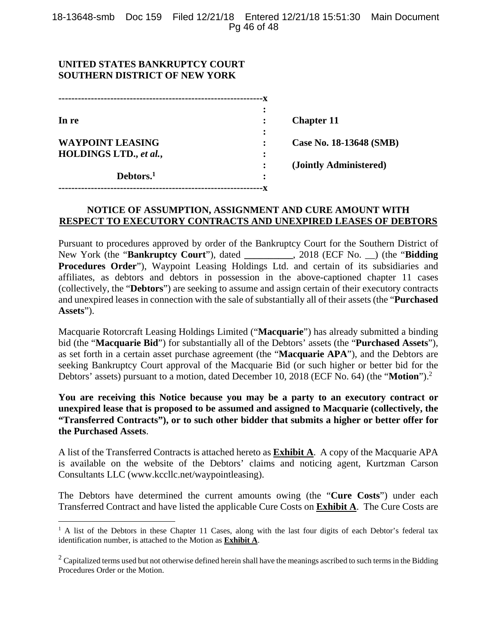## **UNITED STATES BANKRUPTCY COURT SOUTHERN DISTRICT OF NEW YORK**

 $\overline{a}$ 

| In re                   |   | <b>Chapter 11</b>       |
|-------------------------|---|-------------------------|
|                         |   |                         |
| <b>WAYPOINT LEASING</b> |   | Case No. 18-13648 (SMB) |
| HOLDINGS LTD., et al.,  | ٠ |                         |
|                         |   | (Jointly Administered)  |
| Debtors. <sup>1</sup>   | ٠ |                         |
|                         |   |                         |

## **NOTICE OF ASSUMPTION, ASSIGNMENT AND CURE AMOUNT WITH RESPECT TO EXECUTORY CONTRACTS AND UNEXPIRED LEASES OF DEBTORS**

Pursuant to procedures approved by order of the Bankruptcy Court for the Southern District of New York (the "**Bankruptcy Court**"), dated **\_\_\_\_\_\_\_\_\_\_**, 2018 (ECF No. \_\_) (the "**Bidding Procedures Order**"), Waypoint Leasing Holdings Ltd. and certain of its subsidiaries and affiliates, as debtors and debtors in possession in the above-captioned chapter 11 cases (collectively, the "**Debtors**") are seeking to assume and assign certain of their executory contracts and unexpired leases in connection with the sale of substantially all of their assets (the "**Purchased Assets**").

Macquarie Rotorcraft Leasing Holdings Limited ("**Macquarie**") has already submitted a binding bid (the "**Macquarie Bid**") for substantially all of the Debtors' assets (the "**Purchased Assets**"), as set forth in a certain asset purchase agreement (the "**Macquarie APA**"), and the Debtors are seeking Bankruptcy Court approval of the Macquarie Bid (or such higher or better bid for the Debtors' assets) pursuant to a motion, dated December 10, 2018 (ECF No. 64) (the "**Motion**").<sup>2</sup>

**You are receiving this Notice because you may be a party to an executory contract or unexpired lease that is proposed to be assumed and assigned to Macquarie (collectively, the "Transferred Contracts"), or to such other bidder that submits a higher or better offer for the Purchased Assets**.

A list of the Transferred Contracts is attached hereto as **Exhibit A**. A copy of the Macquarie APA is available on the website of the Debtors' claims and noticing agent, Kurtzman Carson Consultants LLC (www.kccllc.net/waypointleasing).

The Debtors have determined the current amounts owing (the "**Cure Costs**") under each Transferred Contract and have listed the applicable Cure Costs on **Exhibit A**. The Cure Costs are

<sup>&</sup>lt;sup>1</sup> A list of the Debtors in these Chapter 11 Cases, along with the last four digits of each Debtor's federal tax identification number, is attached to the Motion as **Exhibit A**.

 $2$  Capitalized terms used but not otherwise defined herein shall have the meanings ascribed to such terms in the Bidding Procedures Order or the Motion.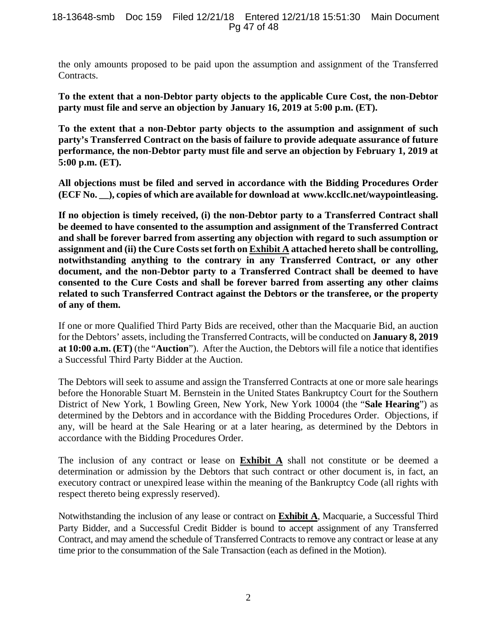#### 18-13648-smb Doc 159 Filed 12/21/18 Entered 12/21/18 15:51:30 Main Document Pg 47 of 48

the only amounts proposed to be paid upon the assumption and assignment of the Transferred Contracts.

**To the extent that a non-Debtor party objects to the applicable Cure Cost, the non-Debtor party must file and serve an objection by January 16, 2019 at 5:00 p.m. (ET).** 

**To the extent that a non-Debtor party objects to the assumption and assignment of such party's Transferred Contract on the basis of failure to provide adequate assurance of future performance, the non-Debtor party must file and serve an objection by February 1, 2019 at 5:00 p.m. (ET).** 

**All objections must be filed and served in accordance with the Bidding Procedures Order (ECF No. \_\_), copies of which are available for download at www.kccllc.net/waypointleasing.** 

**If no objection is timely received, (i) the non-Debtor party to a Transferred Contract shall be deemed to have consented to the assumption and assignment of the Transferred Contract and shall be forever barred from asserting any objection with regard to such assumption or assignment and (ii) the Cure Costs set forth on Exhibit A attached hereto shall be controlling, notwithstanding anything to the contrary in any Transferred Contract, or any other document, and the non-Debtor party to a Transferred Contract shall be deemed to have consented to the Cure Costs and shall be forever barred from asserting any other claims related to such Transferred Contract against the Debtors or the transferee, or the property of any of them.** 

If one or more Qualified Third Party Bids are received, other than the Macquarie Bid, an auction for the Debtors' assets, including the Transferred Contracts, will be conducted on **January 8, 2019 at 10:00 a.m. (ET)** (the "**Auction**"). After the Auction, the Debtors will file a notice that identifies a Successful Third Party Bidder at the Auction.

The Debtors will seek to assume and assign the Transferred Contracts at one or more sale hearings before the Honorable Stuart M. Bernstein in the United States Bankruptcy Court for the Southern District of New York, 1 Bowling Green, New York, New York 10004 (the "**Sale Hearing**") as determined by the Debtors and in accordance with the Bidding Procedures Order. Objections, if any, will be heard at the Sale Hearing or at a later hearing, as determined by the Debtors in accordance with the Bidding Procedures Order.

The inclusion of any contract or lease on **Exhibit A** shall not constitute or be deemed a determination or admission by the Debtors that such contract or other document is, in fact, an executory contract or unexpired lease within the meaning of the Bankruptcy Code (all rights with respect thereto being expressly reserved).

Notwithstanding the inclusion of any lease or contract on **Exhibit A**, Macquarie, a Successful Third Party Bidder, and a Successful Credit Bidder is bound to accept assignment of any Transferred Contract, and may amend the schedule of Transferred Contracts to remove any contract or lease at any time prior to the consummation of the Sale Transaction (each as defined in the Motion).